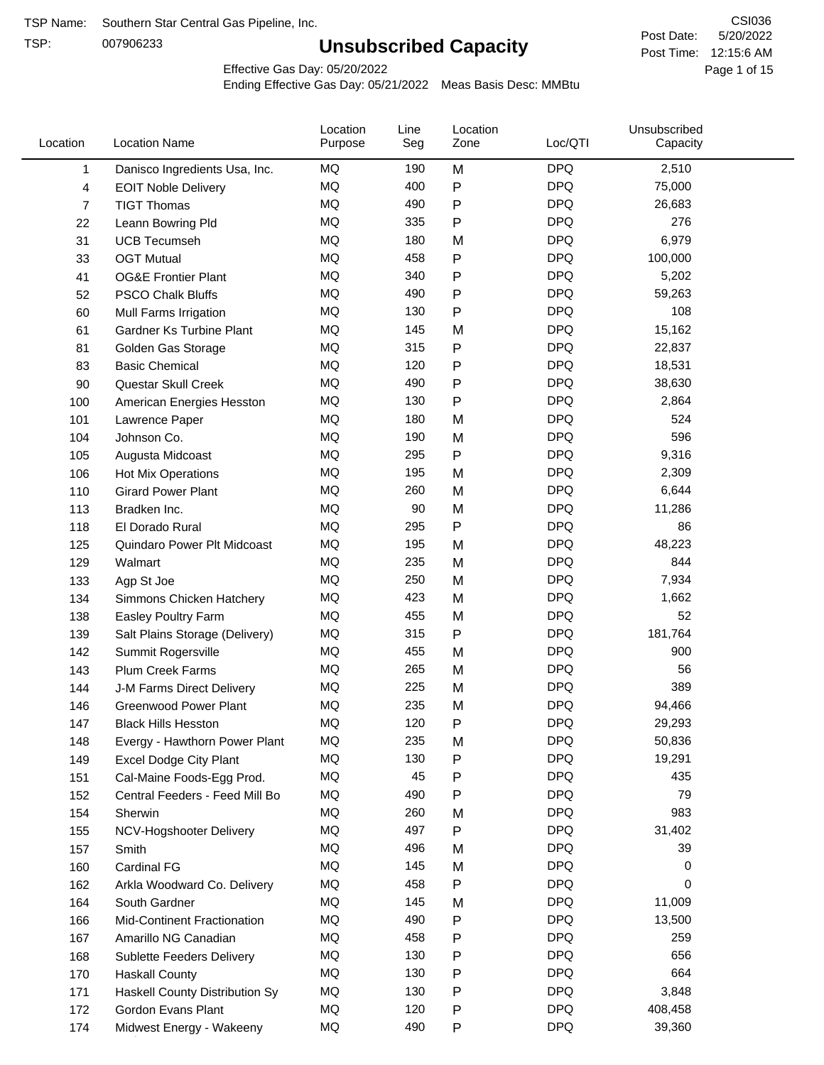TSP:

# **Unsubscribed Capacity**

5/20/2022 Page 1 of 15 Post Time: 12:15:6 AM CSI036 Post Date:

Effective Gas Day: 05/20/2022

| Location       | <b>Location Name</b>            | Location<br>Purpose | Line<br>Seg | Location<br>Zone | Loc/QTI    | Unsubscribed<br>Capacity |  |
|----------------|---------------------------------|---------------------|-------------|------------------|------------|--------------------------|--|
| 1              | Danisco Ingredients Usa, Inc.   | <b>MQ</b>           | 190         | M                | <b>DPQ</b> | 2,510                    |  |
| 4              | <b>EOIT Noble Delivery</b>      | MQ                  | 400         | $\mathsf{P}$     | <b>DPQ</b> | 75,000                   |  |
| $\overline{7}$ | <b>TIGT Thomas</b>              | MQ                  | 490         | $\mathsf{P}$     | <b>DPQ</b> | 26,683                   |  |
| 22             | Leann Bowring Pld               | <b>MQ</b>           | 335         | $\mathsf{P}$     | <b>DPQ</b> | 276                      |  |
| 31             | <b>UCB Tecumseh</b>             | <b>MQ</b>           | 180         | M                | <b>DPQ</b> | 6,979                    |  |
| 33             | <b>OGT Mutual</b>               | <b>MQ</b>           | 458         | P                | <b>DPQ</b> | 100,000                  |  |
| 41             | <b>OG&amp;E Frontier Plant</b>  | MQ                  | 340         | $\mathsf{P}$     | <b>DPQ</b> | 5,202                    |  |
| 52             | <b>PSCO Chalk Bluffs</b>        | MQ                  | 490         | P                | <b>DPQ</b> | 59,263                   |  |
| 60             | Mull Farms Irrigation           | <b>MQ</b>           | 130         | ${\sf P}$        | <b>DPQ</b> | 108                      |  |
| 61             | <b>Gardner Ks Turbine Plant</b> | MQ                  | 145         | M                | <b>DPQ</b> | 15,162                   |  |
| 81             | Golden Gas Storage              | MQ                  | 315         | ${\sf P}$        | <b>DPQ</b> | 22,837                   |  |
| 83             | <b>Basic Chemical</b>           | <b>MQ</b>           | 120         | P                | <b>DPQ</b> | 18,531                   |  |
| 90             | Questar Skull Creek             | <b>MQ</b>           | 490         | P                | <b>DPQ</b> | 38,630                   |  |
| 100            | American Energies Hesston       | <b>MQ</b>           | 130         | $\mathsf{P}$     | <b>DPQ</b> | 2,864                    |  |
| 101            | Lawrence Paper                  | <b>MQ</b>           | 180         | M                | <b>DPQ</b> | 524                      |  |
| 104            | Johnson Co.                     | MQ                  | 190         | M                | <b>DPQ</b> | 596                      |  |
| 105            | Augusta Midcoast                | MQ                  | 295         | ${\sf P}$        | <b>DPQ</b> | 9,316                    |  |
| 106            | <b>Hot Mix Operations</b>       | <b>MQ</b>           | 195         | M                | <b>DPQ</b> | 2,309                    |  |
| 110            | <b>Girard Power Plant</b>       | MQ                  | 260         | M                | <b>DPQ</b> | 6,644                    |  |
| 113            | Bradken Inc.                    | MQ                  | 90          | M                | <b>DPQ</b> | 11,286                   |  |
| 118            | El Dorado Rural                 | <b>MQ</b>           | 295         | $\mathsf{P}$     | <b>DPQ</b> | 86                       |  |
| 125            | Quindaro Power Plt Midcoast     | <b>MQ</b>           | 195         | M                | <b>DPQ</b> | 48,223                   |  |
| 129            | Walmart                         | <b>MQ</b>           | 235         | M                | <b>DPQ</b> | 844                      |  |
| 133            | Agp St Joe                      | <b>MQ</b>           | 250         | M                | <b>DPQ</b> | 7,934                    |  |
| 134            | Simmons Chicken Hatchery        | MQ                  | 423         | M                | <b>DPQ</b> | 1,662                    |  |
| 138            | Easley Poultry Farm             | MQ                  | 455         | M                | <b>DPQ</b> | 52                       |  |
| 139            | Salt Plains Storage (Delivery)  | <b>MQ</b>           | 315         | ${\sf P}$        | <b>DPQ</b> | 181,764                  |  |
| 142            | Summit Rogersville              | <b>MQ</b>           | 455         | M                | <b>DPQ</b> | 900                      |  |
| 143            | Plum Creek Farms                | MQ                  | 265         | M                | <b>DPQ</b> | 56                       |  |
| 144            | J-M Farms Direct Delivery       | MQ                  | 225         | M                | <b>DPQ</b> | 389                      |  |
| 146            | <b>Greenwood Power Plant</b>    | <b>MQ</b>           | 235         | M                | <b>DPQ</b> | 94,466                   |  |
| 147            | <b>Black Hills Hesston</b>      | MQ                  | 120         | P                | <b>DPQ</b> | 29,293                   |  |
| 148            | Evergy - Hawthorn Power Plant   | ΜQ                  | 235         | M                | <b>DPQ</b> | 50,836                   |  |
| 149            | <b>Excel Dodge City Plant</b>   | MQ                  | 130         | ${\sf P}$        | <b>DPQ</b> | 19,291                   |  |
| 151            | Cal-Maine Foods-Egg Prod.       | MQ                  | 45          | P                | <b>DPQ</b> | 435                      |  |
| 152            | Central Feeders - Feed Mill Bo  | MQ                  | 490         | P                | <b>DPQ</b> | 79                       |  |
| 154            | Sherwin                         | MQ                  | 260         | M                | <b>DPQ</b> | 983                      |  |
| 155            | NCV-Hogshooter Delivery         | MQ                  | 497         | P                | <b>DPQ</b> | 31,402                   |  |
| 157            | Smith                           | MQ                  | 496         | M                | <b>DPQ</b> | 39                       |  |
| 160            | Cardinal FG                     | MQ                  | 145         | M                | <b>DPQ</b> | 0                        |  |
| 162            | Arkla Woodward Co. Delivery     | MQ                  | 458         | ${\sf P}$        | <b>DPQ</b> | 0                        |  |
| 164            | South Gardner                   | MQ                  | 145         | M                | <b>DPQ</b> | 11,009                   |  |
| 166            | Mid-Continent Fractionation     | MQ                  | 490         | P                | <b>DPQ</b> | 13,500                   |  |
| 167            | Amarillo NG Canadian            | MQ                  | 458         | P                | <b>DPQ</b> | 259                      |  |
| 168            | Sublette Feeders Delivery       | MQ                  | 130         | Ρ                | <b>DPQ</b> | 656                      |  |
| 170            | <b>Haskall County</b>           | MQ                  | 130         | P                | <b>DPQ</b> | 664                      |  |
| 171            | Haskell County Distribution Sy  | MQ                  | 130         | Ρ                | <b>DPQ</b> | 3,848                    |  |
| 172            | Gordon Evans Plant              | MQ                  | 120         | P                | <b>DPQ</b> | 408,458                  |  |
| 174            | Midwest Energy - Wakeeny        | MQ                  | 490         | P                | <b>DPQ</b> | 39,360                   |  |
|                |                                 |                     |             |                  |            |                          |  |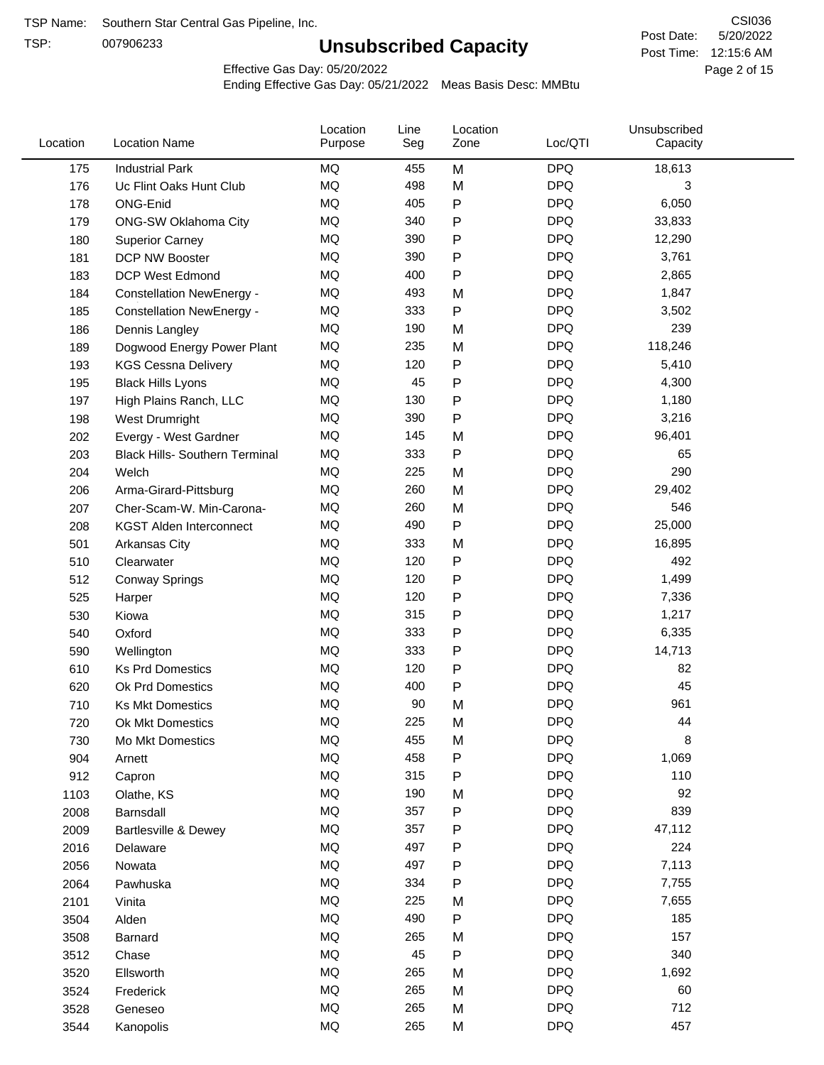TSP:

# **Unsubscribed Capacity**

5/20/2022 Page 2 of 15 Post Time: 12:15:6 AM CSI036 Post Date:

Effective Gas Day: 05/20/2022

| Location | <b>Location Name</b>                  | Location<br>Purpose | Line<br>Seg | Location<br>Zone | Loc/QTI    | Unsubscribed<br>Capacity |  |
|----------|---------------------------------------|---------------------|-------------|------------------|------------|--------------------------|--|
| 175      | <b>Industrial Park</b>                | MQ                  | 455         | M                | <b>DPQ</b> | 18,613                   |  |
| 176      | Uc Flint Oaks Hunt Club               | MQ                  | 498         | M                | <b>DPQ</b> | 3                        |  |
| 178      | ONG-Enid                              | MQ                  | 405         | P                | <b>DPQ</b> | 6,050                    |  |
| 179      | ONG-SW Oklahoma City                  | MQ                  | 340         | P                | <b>DPQ</b> | 33,833                   |  |
| 180      | <b>Superior Carney</b>                | <b>MQ</b>           | 390         | Ρ                | <b>DPQ</b> | 12,290                   |  |
| 181      | DCP NW Booster                        | <b>MQ</b>           | 390         | P                | <b>DPQ</b> | 3,761                    |  |
| 183      | <b>DCP West Edmond</b>                | <b>MQ</b>           | 400         | P                | <b>DPQ</b> | 2,865                    |  |
| 184      | <b>Constellation NewEnergy -</b>      | <b>MQ</b>           | 493         | M                | <b>DPQ</b> | 1,847                    |  |
| 185      | <b>Constellation NewEnergy -</b>      | MQ                  | 333         | P                | <b>DPQ</b> | 3,502                    |  |
| 186      | Dennis Langley                        | <b>MQ</b>           | 190         | M                | <b>DPQ</b> | 239                      |  |
| 189      | Dogwood Energy Power Plant            | MQ                  | 235         | M                | <b>DPQ</b> | 118,246                  |  |
| 193      | <b>KGS Cessna Delivery</b>            | MQ                  | 120         | P                | <b>DPQ</b> | 5,410                    |  |
| 195      | <b>Black Hills Lyons</b>              | <b>MQ</b>           | 45          | Ρ                | <b>DPQ</b> | 4,300                    |  |
| 197      | High Plains Ranch, LLC                | <b>MQ</b>           | 130         | Ρ                | <b>DPQ</b> | 1,180                    |  |
| 198      | West Drumright                        | <b>MQ</b>           | 390         | P                | <b>DPQ</b> | 3,216                    |  |
| 202      | Evergy - West Gardner                 | <b>MQ</b>           | 145         | M                | <b>DPQ</b> | 96,401                   |  |
| 203      | <b>Black Hills- Southern Terminal</b> | <b>MQ</b>           | 333         | P                | <b>DPQ</b> | 65                       |  |
| 204      | Welch                                 | MQ                  | 225         | M                | <b>DPQ</b> | 290                      |  |
| 206      | Arma-Girard-Pittsburg                 | <b>MQ</b>           | 260         | M                | <b>DPQ</b> | 29,402                   |  |
| 207      | Cher-Scam-W. Min-Carona-              | MQ                  | 260         | M                | <b>DPQ</b> | 546                      |  |
| 208      | <b>KGST Alden Interconnect</b>        | <b>MQ</b>           | 490         | P                | <b>DPQ</b> | 25,000                   |  |
| 501      | <b>Arkansas City</b>                  | <b>MQ</b>           | 333         | M                | <b>DPQ</b> | 16,895                   |  |
| 510      | Clearwater                            | <b>MQ</b>           | 120         | P                | <b>DPQ</b> | 492                      |  |
| 512      | <b>Conway Springs</b>                 | <b>MQ</b>           | 120         | P                | <b>DPQ</b> | 1,499                    |  |
| 525      | Harper                                | <b>MQ</b>           | 120         | P                | <b>DPQ</b> | 7,336                    |  |
| 530      | Kiowa                                 | MQ                  | 315         | P                | <b>DPQ</b> | 1,217                    |  |
| 540      | Oxford                                | <b>MQ</b>           | 333         | Ρ                | <b>DPQ</b> | 6,335                    |  |
| 590      | Wellington                            | <b>MQ</b>           | 333         | Ρ                | <b>DPQ</b> | 14,713                   |  |
| 610      | <b>Ks Prd Domestics</b>               | MQ                  | 120         | P                | <b>DPQ</b> | 82                       |  |
| 620      | Ok Prd Domestics                      | <b>MQ</b>           | 400         | P                | <b>DPQ</b> | 45                       |  |
| 710      | <b>Ks Mkt Domestics</b>               | <b>MQ</b>           | 90          | M                | <b>DPQ</b> | 961                      |  |
| 720      | Ok Mkt Domestics                      | MQ                  | 225         | M                | <b>DPQ</b> | 44                       |  |
| 730      | Mo Mkt Domestics                      | MQ                  | 455         | M                | <b>DPQ</b> | 8                        |  |
| 904      | Arnett                                | $\sf{MQ}$           | 458         | Ρ                | <b>DPQ</b> | 1,069                    |  |
| 912      | Capron                                | $\sf{MQ}$           | 315         | Ρ                | <b>DPQ</b> | 110                      |  |
| 1103     | Olathe, KS                            | $\sf{MQ}$           | 190         | M                | <b>DPQ</b> | 92                       |  |
| 2008     | Barnsdall                             | MQ                  | 357         | Ρ                | <b>DPQ</b> | 839                      |  |
| 2009     | Bartlesville & Dewey                  | MQ                  | 357         | Ρ                | <b>DPQ</b> | 47,112                   |  |
| 2016     | Delaware                              | MQ                  | 497         | Ρ                | <b>DPQ</b> | 224                      |  |
| 2056     | Nowata                                | MQ                  | 497         | Ρ                | <b>DPQ</b> | 7,113                    |  |
| 2064     | Pawhuska                              | MQ                  | 334         | Ρ                | <b>DPQ</b> | 7,755                    |  |
| 2101     | Vinita                                | MQ                  | 225         | M                | <b>DPQ</b> | 7,655                    |  |
| 3504     | Alden                                 | $\sf{MQ}$           | 490         | P                | <b>DPQ</b> | 185                      |  |
| 3508     | Barnard                               | $\sf{MQ}$           | 265         | M                | <b>DPQ</b> | 157                      |  |
| 3512     | Chase                                 | $\sf{MQ}$           | 45          | Ρ                | <b>DPQ</b> | 340                      |  |
| 3520     | Ellsworth                             | MQ                  | 265         | M                | <b>DPQ</b> | 1,692                    |  |
| 3524     | Frederick                             | MQ                  | 265         | M                | <b>DPQ</b> | 60                       |  |
| 3528     | Geneseo                               | $\sf{MQ}$           | 265         | M                | <b>DPQ</b> | 712                      |  |
| 3544     | Kanopolis                             | $\sf{MQ}$           | 265         | M                | <b>DPQ</b> | 457                      |  |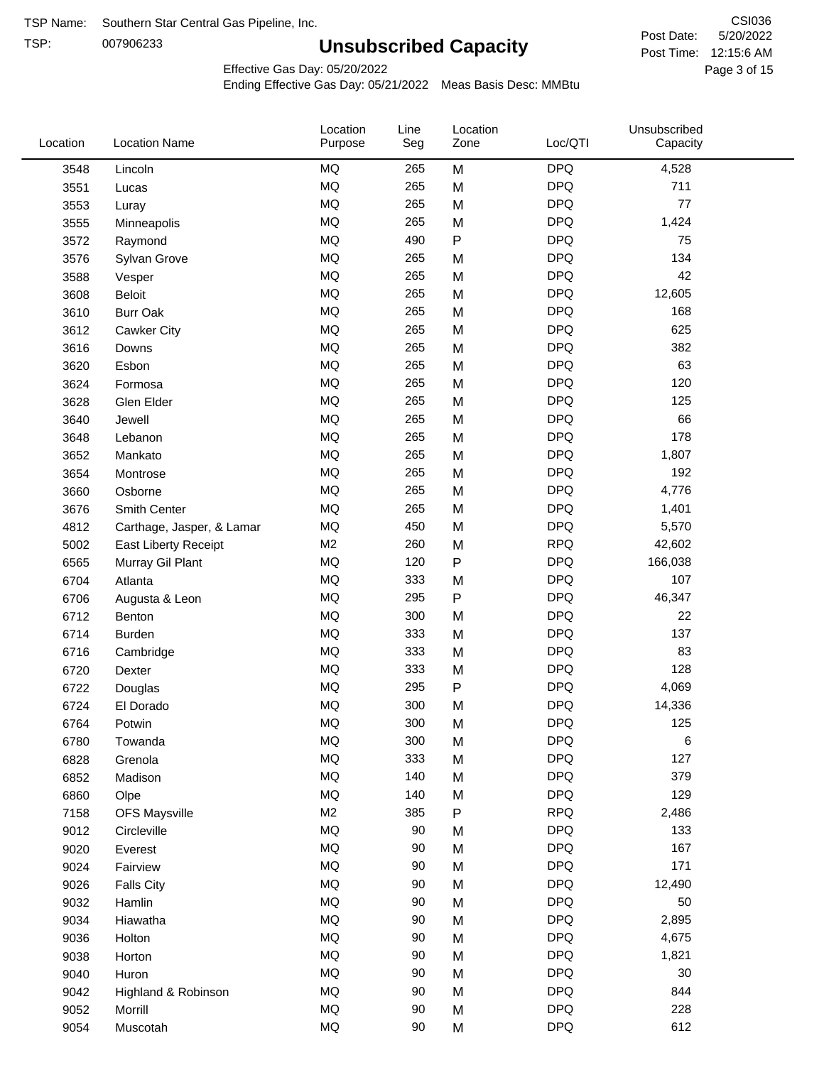TSP: 

# **Unsubscribed Capacity**

5/20/2022 Page 3 of 15 Post Time: 12:15:6 AM CSI036 Post Date:

Effective Gas Day: 05/20/2022

| Location | <b>Location Name</b>      | Location<br>Purpose | Line<br>Seg | Location<br>Zone | Loc/QTI    | Unsubscribed<br>Capacity |  |
|----------|---------------------------|---------------------|-------------|------------------|------------|--------------------------|--|
| 3548     | Lincoln                   | MQ                  | 265         | M                | <b>DPQ</b> | 4,528                    |  |
| 3551     | Lucas                     | MQ                  | 265         | M                | <b>DPQ</b> | 711                      |  |
| 3553     | Luray                     | MQ                  | 265         | M                | <b>DPQ</b> | 77                       |  |
| 3555     | Minneapolis               | <b>MQ</b>           | 265         | M                | <b>DPQ</b> | 1,424                    |  |
| 3572     | Raymond                   | <b>MQ</b>           | 490         | $\sf P$          | <b>DPQ</b> | 75                       |  |
| 3576     | Sylvan Grove              | MQ                  | 265         | M                | <b>DPQ</b> | 134                      |  |
| 3588     | Vesper                    | MQ                  | 265         | M                | <b>DPQ</b> | 42                       |  |
| 3608     | Beloit                    | MQ                  | 265         | M                | <b>DPQ</b> | 12,605                   |  |
| 3610     | <b>Burr Oak</b>           | MQ                  | 265         | M                | <b>DPQ</b> | 168                      |  |
| 3612     | Cawker City               | MQ                  | 265         | M                | <b>DPQ</b> | 625                      |  |
| 3616     | Downs                     | MQ                  | 265         | M                | <b>DPQ</b> | 382                      |  |
| 3620     | Esbon                     | MQ                  | 265         | M                | <b>DPQ</b> | 63                       |  |
| 3624     | Formosa                   | MQ                  | 265         | M                | <b>DPQ</b> | 120                      |  |
| 3628     | Glen Elder                | <b>MQ</b>           | 265         | M                | <b>DPQ</b> | 125                      |  |
| 3640     | Jewell                    | MQ                  | 265         | M                | <b>DPQ</b> | 66                       |  |
| 3648     | Lebanon                   | MQ                  | 265         | M                | <b>DPQ</b> | 178                      |  |
| 3652     | Mankato                   | MQ                  | 265         | M                | <b>DPQ</b> | 1,807                    |  |
| 3654     | Montrose                  | MQ                  | 265         | M                | <b>DPQ</b> | 192                      |  |
| 3660     | Osborne                   | MQ                  | 265         | M                | <b>DPQ</b> | 4,776                    |  |
| 3676     | Smith Center              | MQ                  | 265         | M                | <b>DPQ</b> | 1,401                    |  |
| 4812     | Carthage, Jasper, & Lamar | MQ                  | 450         | M                | <b>DPQ</b> | 5,570                    |  |
| 5002     | East Liberty Receipt      | M <sub>2</sub>      | 260         | M                | <b>RPQ</b> | 42,602                   |  |
| 6565     | Murray Gil Plant          | MQ                  | 120         | $\mathsf{P}$     | <b>DPQ</b> | 166,038                  |  |
| 6704     | Atlanta                   | MQ                  | 333         | M                | <b>DPQ</b> | 107                      |  |
| 6706     | Augusta & Leon            | MQ                  | 295         | P                | <b>DPQ</b> | 46,347                   |  |
| 6712     | Benton                    | MQ                  | 300         | M                | <b>DPQ</b> | 22                       |  |
| 6714     | <b>Burden</b>             | MQ                  | 333         | M                | <b>DPQ</b> | 137                      |  |
| 6716     | Cambridge                 | MQ                  | 333         | M                | <b>DPQ</b> | 83                       |  |
| 6720     | Dexter                    | MQ                  | 333         | M                | <b>DPQ</b> | 128                      |  |
| 6722     | Douglas                   | $\sf{MQ}$           | 295         | P                | <b>DPQ</b> | 4,069                    |  |
| 6724     | El Dorado                 | <b>MQ</b>           | 300         | M                | <b>DPQ</b> | 14,336                   |  |
| 6764     | Potwin                    | $\sf{MQ}$           | 300         | M                | <b>DPQ</b> | 125                      |  |
| 6780     | Towanda                   | MQ                  | 300         | M                | <b>DPQ</b> | 6                        |  |
| 6828     | Grenola                   | MQ                  | 333         | M                | <b>DPQ</b> | 127                      |  |
| 6852     | Madison                   | MQ                  | 140         | M                | <b>DPQ</b> | 379                      |  |
| 6860     | Olpe                      | MQ                  | 140         | M                | <b>DPQ</b> | 129                      |  |
| 7158     | <b>OFS Maysville</b>      | M <sub>2</sub>      | 385         | ${\sf P}$        | <b>RPQ</b> | 2,486                    |  |
| 9012     | Circleville               | MQ                  | 90          | M                | <b>DPQ</b> | 133                      |  |
| 9020     | Everest                   | $\sf{MQ}$           | 90          | M                | <b>DPQ</b> | 167                      |  |
| 9024     | Fairview                  | MQ                  | 90          | M                | <b>DPQ</b> | 171                      |  |
| 9026     | <b>Falls City</b>         | MQ                  | 90          | M                | <b>DPQ</b> | 12,490                   |  |
| 9032     | Hamlin                    | MQ                  | 90          | M                | <b>DPQ</b> | 50                       |  |
| 9034     | Hiawatha                  | MQ                  | 90          | M                | <b>DPQ</b> | 2,895                    |  |
| 9036     | Holton                    | MQ                  | 90          | M                | <b>DPQ</b> | 4,675                    |  |
| 9038     | Horton                    | MQ                  | 90          | M                | <b>DPQ</b> | 1,821                    |  |
| 9040     | Huron                     | MQ                  | 90          | M                | <b>DPQ</b> | 30                       |  |
| 9042     | Highland & Robinson       | MQ                  | 90          | M                | <b>DPQ</b> | 844                      |  |
| 9052     | Morrill                   | $\sf{MQ}$           | 90          | M                | <b>DPQ</b> | 228                      |  |
| 9054     | Muscotah                  | $\sf{MQ}$           | 90          | M                | <b>DPQ</b> | 612                      |  |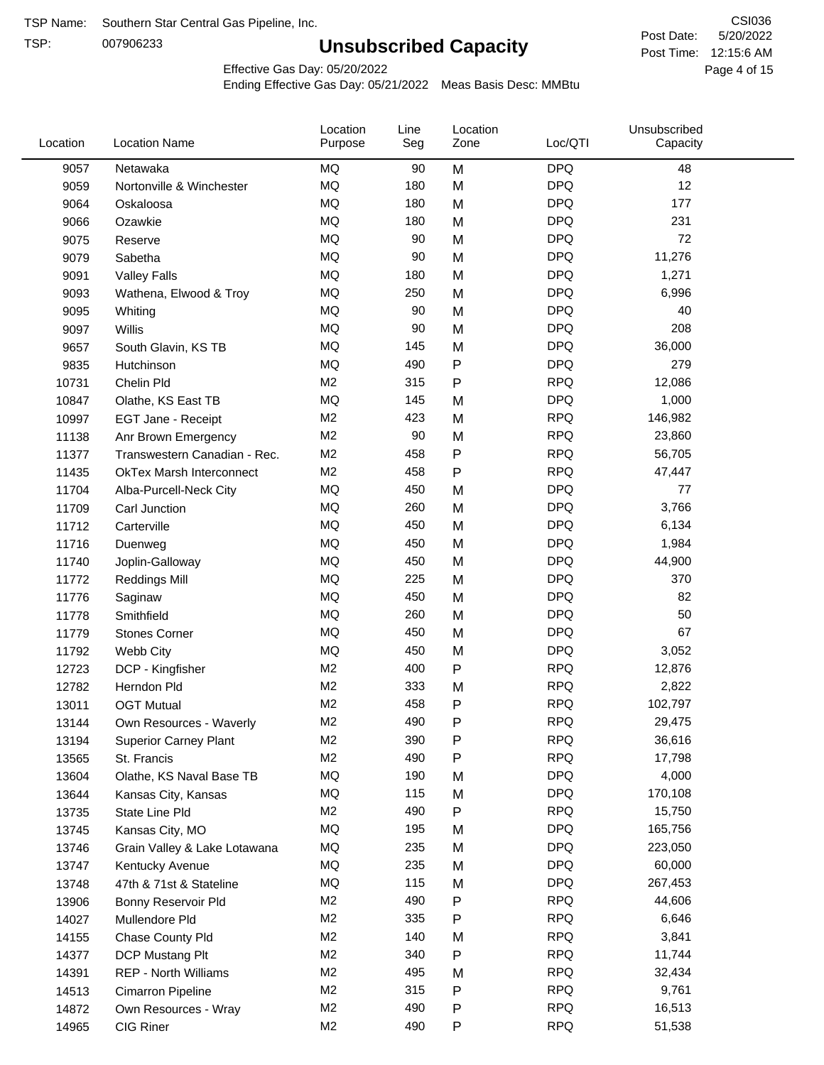TSP:

# **Unsubscribed Capacity**

5/20/2022 Page 4 of 15 Post Time: 12:15:6 AM CSI036 Post Date:

Effective Gas Day: 05/20/2022

| <b>MQ</b><br><b>DPQ</b><br>9057<br>Netawaka<br>90<br>M<br>48<br>MQ<br><b>DPQ</b><br>12<br>180<br>M<br>9059<br>Nortonville & Winchester<br><b>DPQ</b><br>MQ<br>180<br>M<br>177<br>9064<br>Oskaloosa<br><b>MQ</b><br><b>DPQ</b><br>231<br>180<br>9066<br>M<br>Ozawkie<br><b>MQ</b><br><b>DPQ</b><br>72<br>90<br>M<br>9075<br>Reserve<br><b>MQ</b><br><b>DPQ</b><br>90<br>11,276<br>9079<br>Sabetha<br>M<br>MQ<br><b>DPQ</b><br>180<br>M<br>1,271<br>9091<br><b>Valley Falls</b><br><b>MQ</b><br><b>DPQ</b><br>250<br>6,996<br>M<br>9093<br>Wathena, Elwood & Troy<br><b>DPQ</b><br>MQ<br>90<br>40<br>M<br>9095<br>Whiting<br><b>MQ</b><br><b>DPQ</b><br>208<br>90<br>M<br>9097<br>Willis<br><b>MQ</b><br><b>DPQ</b><br>36,000<br>145<br>M<br>9657<br>South Glavin, KS TB<br>P<br><b>DPQ</b><br>MQ<br>490<br>279<br>9835<br>Hutchinson<br>M <sub>2</sub><br><b>RPQ</b><br>315<br>P<br>12,086<br>10731<br>Chelin Pld<br><b>MQ</b><br><b>DPQ</b><br>145<br>1,000<br>M<br>10847<br>Olathe, KS East TB<br>M <sub>2</sub><br><b>RPQ</b><br>423<br>146,982<br>M<br>10997<br>EGT Jane - Receipt<br>M <sub>2</sub><br><b>RPQ</b><br>90<br>M<br>23,860<br>11138<br>Anr Brown Emergency<br><b>RPQ</b><br>M <sub>2</sub><br>458<br>P<br>56,705<br>11377<br>Transwestern Canadian - Rec.<br><b>RPQ</b><br>M <sub>2</sub><br>458<br>Ρ<br>47,447<br>11435<br><b>OkTex Marsh Interconnect</b><br><b>MQ</b><br><b>DPQ</b><br>450<br>77<br>11704<br>Alba-Purcell-Neck City<br>M<br><b>MQ</b><br><b>DPQ</b><br>260<br>M<br>3,766<br>11709<br>Carl Junction<br><b>MQ</b><br><b>DPQ</b><br>450<br>6,134<br>M<br>11712<br>Carterville<br>MQ<br><b>DPQ</b><br>450<br>M<br>1,984<br>11716<br>Duenweg<br><b>MQ</b><br><b>DPQ</b><br>450<br>M<br>44,900<br>11740<br>Joplin-Galloway<br><b>MQ</b><br><b>DPQ</b><br>225<br>370<br>M<br>11772<br><b>Reddings Mill</b><br><b>MQ</b><br><b>DPQ</b><br>82<br>450<br>M<br>11776<br>Saginaw<br>MQ<br><b>DPQ</b><br>50<br>260<br>M<br>11778<br>Smithfield<br>MQ<br><b>DPQ</b><br>67<br>450<br>M<br>11779<br><b>Stones Corner</b><br><b>MQ</b><br><b>DPQ</b><br>450<br>3,052<br>11792<br>Webb City<br>M<br>M <sub>2</sub><br>P<br><b>RPQ</b><br>400<br>12,876<br>12723<br>DCP - Kingfisher<br>M <sub>2</sub><br><b>RPQ</b><br>333<br>2,822<br>M<br>12782<br>Herndon Pld<br>M <sub>2</sub><br>458<br>P<br><b>RPQ</b><br>102,797<br>13011<br><b>OGT Mutual</b><br>M <sub>2</sub><br>490<br>P<br><b>RPQ</b><br>29,475<br>13144<br>Own Resources - Waverly<br>M <sub>2</sub><br>390<br>P<br><b>RPQ</b><br>36,616<br>13194<br><b>Superior Carney Plant</b><br>M2<br>490<br><b>RPQ</b><br>Ρ<br>17,798<br>13565<br>St. Francis<br>MQ<br>190<br><b>DPQ</b><br>4,000<br>M<br>13604<br>Olathe, KS Naval Base TB<br>MQ<br>115<br><b>DPQ</b><br>170,108<br>13644<br>M<br>Kansas City, Kansas<br><b>RPQ</b><br>M <sub>2</sub><br>490<br>Ρ<br>15,750<br>13735<br>State Line Pld<br>MQ<br><b>DPQ</b><br>195<br>165,756<br>M<br>13745<br>Kansas City, MO<br>MQ<br>235<br><b>DPQ</b><br>223,050<br>13746<br>M<br>Grain Valley & Lake Lotawana<br><b>DPQ</b><br>MQ<br>235<br>60,000<br>13747<br>Kentucky Avenue<br>M<br>MQ<br>115<br><b>DPQ</b><br>267,453<br>13748<br>47th & 71st & Stateline<br>M<br><b>RPQ</b><br>M <sub>2</sub><br>490<br>Ρ<br>44,606<br>13906<br>Bonny Reservoir Pld<br>M <sub>2</sub><br>335<br><b>RPQ</b><br>6,646<br>Ρ<br>14027<br>Mullendore Pld<br>M <sub>2</sub><br><b>RPQ</b><br>3,841<br>140<br>M<br>14155<br>Chase County Pld<br>M <sub>2</sub><br>340<br><b>RPQ</b><br>11,744<br>Ρ<br>14377<br>DCP Mustang Plt<br>M <sub>2</sub><br>495<br><b>RPQ</b><br>32,434<br>14391<br><b>REP - North Williams</b><br>M<br><b>RPQ</b><br>M <sub>2</sub><br>315<br>P<br>9,761<br>14513<br>Cimarron Pipeline<br>M <sub>2</sub><br>490<br>P<br><b>RPQ</b><br>16,513<br>14872<br>Own Resources - Wray<br>M <sub>2</sub><br><b>RPQ</b><br>CIG Riner<br>490<br>P<br>51,538<br>14965 | Location | <b>Location Name</b> | Location<br>Purpose | Line<br>Seg | Location<br>Zone | Loc/QTI | Unsubscribed<br>Capacity |  |
|-------------------------------------------------------------------------------------------------------------------------------------------------------------------------------------------------------------------------------------------------------------------------------------------------------------------------------------------------------------------------------------------------------------------------------------------------------------------------------------------------------------------------------------------------------------------------------------------------------------------------------------------------------------------------------------------------------------------------------------------------------------------------------------------------------------------------------------------------------------------------------------------------------------------------------------------------------------------------------------------------------------------------------------------------------------------------------------------------------------------------------------------------------------------------------------------------------------------------------------------------------------------------------------------------------------------------------------------------------------------------------------------------------------------------------------------------------------------------------------------------------------------------------------------------------------------------------------------------------------------------------------------------------------------------------------------------------------------------------------------------------------------------------------------------------------------------------------------------------------------------------------------------------------------------------------------------------------------------------------------------------------------------------------------------------------------------------------------------------------------------------------------------------------------------------------------------------------------------------------------------------------------------------------------------------------------------------------------------------------------------------------------------------------------------------------------------------------------------------------------------------------------------------------------------------------------------------------------------------------------------------------------------------------------------------------------------------------------------------------------------------------------------------------------------------------------------------------------------------------------------------------------------------------------------------------------------------------------------------------------------------------------------------------------------------------------------------------------------------------------------------------------------------------------------------------------------------------------------------------------------------------------------------------------------------------------------------------------------------------------------------------------------------------------------------------------------------------------------------------------------------------------------------------------------------------------------------------------------------------------------------------------------------------------------------------------------------------------------------------------------------------------------------------------------------------------------------------------------------------------------------------------|----------|----------------------|---------------------|-------------|------------------|---------|--------------------------|--|
|                                                                                                                                                                                                                                                                                                                                                                                                                                                                                                                                                                                                                                                                                                                                                                                                                                                                                                                                                                                                                                                                                                                                                                                                                                                                                                                                                                                                                                                                                                                                                                                                                                                                                                                                                                                                                                                                                                                                                                                                                                                                                                                                                                                                                                                                                                                                                                                                                                                                                                                                                                                                                                                                                                                                                                                                                                                                                                                                                                                                                                                                                                                                                                                                                                                                                                                                                                                                                                                                                                                                                                                                                                                                                                                                                                                                                                                                                           |          |                      |                     |             |                  |         |                          |  |
|                                                                                                                                                                                                                                                                                                                                                                                                                                                                                                                                                                                                                                                                                                                                                                                                                                                                                                                                                                                                                                                                                                                                                                                                                                                                                                                                                                                                                                                                                                                                                                                                                                                                                                                                                                                                                                                                                                                                                                                                                                                                                                                                                                                                                                                                                                                                                                                                                                                                                                                                                                                                                                                                                                                                                                                                                                                                                                                                                                                                                                                                                                                                                                                                                                                                                                                                                                                                                                                                                                                                                                                                                                                                                                                                                                                                                                                                                           |          |                      |                     |             |                  |         |                          |  |
|                                                                                                                                                                                                                                                                                                                                                                                                                                                                                                                                                                                                                                                                                                                                                                                                                                                                                                                                                                                                                                                                                                                                                                                                                                                                                                                                                                                                                                                                                                                                                                                                                                                                                                                                                                                                                                                                                                                                                                                                                                                                                                                                                                                                                                                                                                                                                                                                                                                                                                                                                                                                                                                                                                                                                                                                                                                                                                                                                                                                                                                                                                                                                                                                                                                                                                                                                                                                                                                                                                                                                                                                                                                                                                                                                                                                                                                                                           |          |                      |                     |             |                  |         |                          |  |
|                                                                                                                                                                                                                                                                                                                                                                                                                                                                                                                                                                                                                                                                                                                                                                                                                                                                                                                                                                                                                                                                                                                                                                                                                                                                                                                                                                                                                                                                                                                                                                                                                                                                                                                                                                                                                                                                                                                                                                                                                                                                                                                                                                                                                                                                                                                                                                                                                                                                                                                                                                                                                                                                                                                                                                                                                                                                                                                                                                                                                                                                                                                                                                                                                                                                                                                                                                                                                                                                                                                                                                                                                                                                                                                                                                                                                                                                                           |          |                      |                     |             |                  |         |                          |  |
|                                                                                                                                                                                                                                                                                                                                                                                                                                                                                                                                                                                                                                                                                                                                                                                                                                                                                                                                                                                                                                                                                                                                                                                                                                                                                                                                                                                                                                                                                                                                                                                                                                                                                                                                                                                                                                                                                                                                                                                                                                                                                                                                                                                                                                                                                                                                                                                                                                                                                                                                                                                                                                                                                                                                                                                                                                                                                                                                                                                                                                                                                                                                                                                                                                                                                                                                                                                                                                                                                                                                                                                                                                                                                                                                                                                                                                                                                           |          |                      |                     |             |                  |         |                          |  |
|                                                                                                                                                                                                                                                                                                                                                                                                                                                                                                                                                                                                                                                                                                                                                                                                                                                                                                                                                                                                                                                                                                                                                                                                                                                                                                                                                                                                                                                                                                                                                                                                                                                                                                                                                                                                                                                                                                                                                                                                                                                                                                                                                                                                                                                                                                                                                                                                                                                                                                                                                                                                                                                                                                                                                                                                                                                                                                                                                                                                                                                                                                                                                                                                                                                                                                                                                                                                                                                                                                                                                                                                                                                                                                                                                                                                                                                                                           |          |                      |                     |             |                  |         |                          |  |
|                                                                                                                                                                                                                                                                                                                                                                                                                                                                                                                                                                                                                                                                                                                                                                                                                                                                                                                                                                                                                                                                                                                                                                                                                                                                                                                                                                                                                                                                                                                                                                                                                                                                                                                                                                                                                                                                                                                                                                                                                                                                                                                                                                                                                                                                                                                                                                                                                                                                                                                                                                                                                                                                                                                                                                                                                                                                                                                                                                                                                                                                                                                                                                                                                                                                                                                                                                                                                                                                                                                                                                                                                                                                                                                                                                                                                                                                                           |          |                      |                     |             |                  |         |                          |  |
|                                                                                                                                                                                                                                                                                                                                                                                                                                                                                                                                                                                                                                                                                                                                                                                                                                                                                                                                                                                                                                                                                                                                                                                                                                                                                                                                                                                                                                                                                                                                                                                                                                                                                                                                                                                                                                                                                                                                                                                                                                                                                                                                                                                                                                                                                                                                                                                                                                                                                                                                                                                                                                                                                                                                                                                                                                                                                                                                                                                                                                                                                                                                                                                                                                                                                                                                                                                                                                                                                                                                                                                                                                                                                                                                                                                                                                                                                           |          |                      |                     |             |                  |         |                          |  |
|                                                                                                                                                                                                                                                                                                                                                                                                                                                                                                                                                                                                                                                                                                                                                                                                                                                                                                                                                                                                                                                                                                                                                                                                                                                                                                                                                                                                                                                                                                                                                                                                                                                                                                                                                                                                                                                                                                                                                                                                                                                                                                                                                                                                                                                                                                                                                                                                                                                                                                                                                                                                                                                                                                                                                                                                                                                                                                                                                                                                                                                                                                                                                                                                                                                                                                                                                                                                                                                                                                                                                                                                                                                                                                                                                                                                                                                                                           |          |                      |                     |             |                  |         |                          |  |
|                                                                                                                                                                                                                                                                                                                                                                                                                                                                                                                                                                                                                                                                                                                                                                                                                                                                                                                                                                                                                                                                                                                                                                                                                                                                                                                                                                                                                                                                                                                                                                                                                                                                                                                                                                                                                                                                                                                                                                                                                                                                                                                                                                                                                                                                                                                                                                                                                                                                                                                                                                                                                                                                                                                                                                                                                                                                                                                                                                                                                                                                                                                                                                                                                                                                                                                                                                                                                                                                                                                                                                                                                                                                                                                                                                                                                                                                                           |          |                      |                     |             |                  |         |                          |  |
|                                                                                                                                                                                                                                                                                                                                                                                                                                                                                                                                                                                                                                                                                                                                                                                                                                                                                                                                                                                                                                                                                                                                                                                                                                                                                                                                                                                                                                                                                                                                                                                                                                                                                                                                                                                                                                                                                                                                                                                                                                                                                                                                                                                                                                                                                                                                                                                                                                                                                                                                                                                                                                                                                                                                                                                                                                                                                                                                                                                                                                                                                                                                                                                                                                                                                                                                                                                                                                                                                                                                                                                                                                                                                                                                                                                                                                                                                           |          |                      |                     |             |                  |         |                          |  |
|                                                                                                                                                                                                                                                                                                                                                                                                                                                                                                                                                                                                                                                                                                                                                                                                                                                                                                                                                                                                                                                                                                                                                                                                                                                                                                                                                                                                                                                                                                                                                                                                                                                                                                                                                                                                                                                                                                                                                                                                                                                                                                                                                                                                                                                                                                                                                                                                                                                                                                                                                                                                                                                                                                                                                                                                                                                                                                                                                                                                                                                                                                                                                                                                                                                                                                                                                                                                                                                                                                                                                                                                                                                                                                                                                                                                                                                                                           |          |                      |                     |             |                  |         |                          |  |
|                                                                                                                                                                                                                                                                                                                                                                                                                                                                                                                                                                                                                                                                                                                                                                                                                                                                                                                                                                                                                                                                                                                                                                                                                                                                                                                                                                                                                                                                                                                                                                                                                                                                                                                                                                                                                                                                                                                                                                                                                                                                                                                                                                                                                                                                                                                                                                                                                                                                                                                                                                                                                                                                                                                                                                                                                                                                                                                                                                                                                                                                                                                                                                                                                                                                                                                                                                                                                                                                                                                                                                                                                                                                                                                                                                                                                                                                                           |          |                      |                     |             |                  |         |                          |  |
|                                                                                                                                                                                                                                                                                                                                                                                                                                                                                                                                                                                                                                                                                                                                                                                                                                                                                                                                                                                                                                                                                                                                                                                                                                                                                                                                                                                                                                                                                                                                                                                                                                                                                                                                                                                                                                                                                                                                                                                                                                                                                                                                                                                                                                                                                                                                                                                                                                                                                                                                                                                                                                                                                                                                                                                                                                                                                                                                                                                                                                                                                                                                                                                                                                                                                                                                                                                                                                                                                                                                                                                                                                                                                                                                                                                                                                                                                           |          |                      |                     |             |                  |         |                          |  |
|                                                                                                                                                                                                                                                                                                                                                                                                                                                                                                                                                                                                                                                                                                                                                                                                                                                                                                                                                                                                                                                                                                                                                                                                                                                                                                                                                                                                                                                                                                                                                                                                                                                                                                                                                                                                                                                                                                                                                                                                                                                                                                                                                                                                                                                                                                                                                                                                                                                                                                                                                                                                                                                                                                                                                                                                                                                                                                                                                                                                                                                                                                                                                                                                                                                                                                                                                                                                                                                                                                                                                                                                                                                                                                                                                                                                                                                                                           |          |                      |                     |             |                  |         |                          |  |
|                                                                                                                                                                                                                                                                                                                                                                                                                                                                                                                                                                                                                                                                                                                                                                                                                                                                                                                                                                                                                                                                                                                                                                                                                                                                                                                                                                                                                                                                                                                                                                                                                                                                                                                                                                                                                                                                                                                                                                                                                                                                                                                                                                                                                                                                                                                                                                                                                                                                                                                                                                                                                                                                                                                                                                                                                                                                                                                                                                                                                                                                                                                                                                                                                                                                                                                                                                                                                                                                                                                                                                                                                                                                                                                                                                                                                                                                                           |          |                      |                     |             |                  |         |                          |  |
|                                                                                                                                                                                                                                                                                                                                                                                                                                                                                                                                                                                                                                                                                                                                                                                                                                                                                                                                                                                                                                                                                                                                                                                                                                                                                                                                                                                                                                                                                                                                                                                                                                                                                                                                                                                                                                                                                                                                                                                                                                                                                                                                                                                                                                                                                                                                                                                                                                                                                                                                                                                                                                                                                                                                                                                                                                                                                                                                                                                                                                                                                                                                                                                                                                                                                                                                                                                                                                                                                                                                                                                                                                                                                                                                                                                                                                                                                           |          |                      |                     |             |                  |         |                          |  |
|                                                                                                                                                                                                                                                                                                                                                                                                                                                                                                                                                                                                                                                                                                                                                                                                                                                                                                                                                                                                                                                                                                                                                                                                                                                                                                                                                                                                                                                                                                                                                                                                                                                                                                                                                                                                                                                                                                                                                                                                                                                                                                                                                                                                                                                                                                                                                                                                                                                                                                                                                                                                                                                                                                                                                                                                                                                                                                                                                                                                                                                                                                                                                                                                                                                                                                                                                                                                                                                                                                                                                                                                                                                                                                                                                                                                                                                                                           |          |                      |                     |             |                  |         |                          |  |
|                                                                                                                                                                                                                                                                                                                                                                                                                                                                                                                                                                                                                                                                                                                                                                                                                                                                                                                                                                                                                                                                                                                                                                                                                                                                                                                                                                                                                                                                                                                                                                                                                                                                                                                                                                                                                                                                                                                                                                                                                                                                                                                                                                                                                                                                                                                                                                                                                                                                                                                                                                                                                                                                                                                                                                                                                                                                                                                                                                                                                                                                                                                                                                                                                                                                                                                                                                                                                                                                                                                                                                                                                                                                                                                                                                                                                                                                                           |          |                      |                     |             |                  |         |                          |  |
|                                                                                                                                                                                                                                                                                                                                                                                                                                                                                                                                                                                                                                                                                                                                                                                                                                                                                                                                                                                                                                                                                                                                                                                                                                                                                                                                                                                                                                                                                                                                                                                                                                                                                                                                                                                                                                                                                                                                                                                                                                                                                                                                                                                                                                                                                                                                                                                                                                                                                                                                                                                                                                                                                                                                                                                                                                                                                                                                                                                                                                                                                                                                                                                                                                                                                                                                                                                                                                                                                                                                                                                                                                                                                                                                                                                                                                                                                           |          |                      |                     |             |                  |         |                          |  |
|                                                                                                                                                                                                                                                                                                                                                                                                                                                                                                                                                                                                                                                                                                                                                                                                                                                                                                                                                                                                                                                                                                                                                                                                                                                                                                                                                                                                                                                                                                                                                                                                                                                                                                                                                                                                                                                                                                                                                                                                                                                                                                                                                                                                                                                                                                                                                                                                                                                                                                                                                                                                                                                                                                                                                                                                                                                                                                                                                                                                                                                                                                                                                                                                                                                                                                                                                                                                                                                                                                                                                                                                                                                                                                                                                                                                                                                                                           |          |                      |                     |             |                  |         |                          |  |
|                                                                                                                                                                                                                                                                                                                                                                                                                                                                                                                                                                                                                                                                                                                                                                                                                                                                                                                                                                                                                                                                                                                                                                                                                                                                                                                                                                                                                                                                                                                                                                                                                                                                                                                                                                                                                                                                                                                                                                                                                                                                                                                                                                                                                                                                                                                                                                                                                                                                                                                                                                                                                                                                                                                                                                                                                                                                                                                                                                                                                                                                                                                                                                                                                                                                                                                                                                                                                                                                                                                                                                                                                                                                                                                                                                                                                                                                                           |          |                      |                     |             |                  |         |                          |  |
|                                                                                                                                                                                                                                                                                                                                                                                                                                                                                                                                                                                                                                                                                                                                                                                                                                                                                                                                                                                                                                                                                                                                                                                                                                                                                                                                                                                                                                                                                                                                                                                                                                                                                                                                                                                                                                                                                                                                                                                                                                                                                                                                                                                                                                                                                                                                                                                                                                                                                                                                                                                                                                                                                                                                                                                                                                                                                                                                                                                                                                                                                                                                                                                                                                                                                                                                                                                                                                                                                                                                                                                                                                                                                                                                                                                                                                                                                           |          |                      |                     |             |                  |         |                          |  |
|                                                                                                                                                                                                                                                                                                                                                                                                                                                                                                                                                                                                                                                                                                                                                                                                                                                                                                                                                                                                                                                                                                                                                                                                                                                                                                                                                                                                                                                                                                                                                                                                                                                                                                                                                                                                                                                                                                                                                                                                                                                                                                                                                                                                                                                                                                                                                                                                                                                                                                                                                                                                                                                                                                                                                                                                                                                                                                                                                                                                                                                                                                                                                                                                                                                                                                                                                                                                                                                                                                                                                                                                                                                                                                                                                                                                                                                                                           |          |                      |                     |             |                  |         |                          |  |
|                                                                                                                                                                                                                                                                                                                                                                                                                                                                                                                                                                                                                                                                                                                                                                                                                                                                                                                                                                                                                                                                                                                                                                                                                                                                                                                                                                                                                                                                                                                                                                                                                                                                                                                                                                                                                                                                                                                                                                                                                                                                                                                                                                                                                                                                                                                                                                                                                                                                                                                                                                                                                                                                                                                                                                                                                                                                                                                                                                                                                                                                                                                                                                                                                                                                                                                                                                                                                                                                                                                                                                                                                                                                                                                                                                                                                                                                                           |          |                      |                     |             |                  |         |                          |  |
|                                                                                                                                                                                                                                                                                                                                                                                                                                                                                                                                                                                                                                                                                                                                                                                                                                                                                                                                                                                                                                                                                                                                                                                                                                                                                                                                                                                                                                                                                                                                                                                                                                                                                                                                                                                                                                                                                                                                                                                                                                                                                                                                                                                                                                                                                                                                                                                                                                                                                                                                                                                                                                                                                                                                                                                                                                                                                                                                                                                                                                                                                                                                                                                                                                                                                                                                                                                                                                                                                                                                                                                                                                                                                                                                                                                                                                                                                           |          |                      |                     |             |                  |         |                          |  |
|                                                                                                                                                                                                                                                                                                                                                                                                                                                                                                                                                                                                                                                                                                                                                                                                                                                                                                                                                                                                                                                                                                                                                                                                                                                                                                                                                                                                                                                                                                                                                                                                                                                                                                                                                                                                                                                                                                                                                                                                                                                                                                                                                                                                                                                                                                                                                                                                                                                                                                                                                                                                                                                                                                                                                                                                                                                                                                                                                                                                                                                                                                                                                                                                                                                                                                                                                                                                                                                                                                                                                                                                                                                                                                                                                                                                                                                                                           |          |                      |                     |             |                  |         |                          |  |
|                                                                                                                                                                                                                                                                                                                                                                                                                                                                                                                                                                                                                                                                                                                                                                                                                                                                                                                                                                                                                                                                                                                                                                                                                                                                                                                                                                                                                                                                                                                                                                                                                                                                                                                                                                                                                                                                                                                                                                                                                                                                                                                                                                                                                                                                                                                                                                                                                                                                                                                                                                                                                                                                                                                                                                                                                                                                                                                                                                                                                                                                                                                                                                                                                                                                                                                                                                                                                                                                                                                                                                                                                                                                                                                                                                                                                                                                                           |          |                      |                     |             |                  |         |                          |  |
|                                                                                                                                                                                                                                                                                                                                                                                                                                                                                                                                                                                                                                                                                                                                                                                                                                                                                                                                                                                                                                                                                                                                                                                                                                                                                                                                                                                                                                                                                                                                                                                                                                                                                                                                                                                                                                                                                                                                                                                                                                                                                                                                                                                                                                                                                                                                                                                                                                                                                                                                                                                                                                                                                                                                                                                                                                                                                                                                                                                                                                                                                                                                                                                                                                                                                                                                                                                                                                                                                                                                                                                                                                                                                                                                                                                                                                                                                           |          |                      |                     |             |                  |         |                          |  |
|                                                                                                                                                                                                                                                                                                                                                                                                                                                                                                                                                                                                                                                                                                                                                                                                                                                                                                                                                                                                                                                                                                                                                                                                                                                                                                                                                                                                                                                                                                                                                                                                                                                                                                                                                                                                                                                                                                                                                                                                                                                                                                                                                                                                                                                                                                                                                                                                                                                                                                                                                                                                                                                                                                                                                                                                                                                                                                                                                                                                                                                                                                                                                                                                                                                                                                                                                                                                                                                                                                                                                                                                                                                                                                                                                                                                                                                                                           |          |                      |                     |             |                  |         |                          |  |
|                                                                                                                                                                                                                                                                                                                                                                                                                                                                                                                                                                                                                                                                                                                                                                                                                                                                                                                                                                                                                                                                                                                                                                                                                                                                                                                                                                                                                                                                                                                                                                                                                                                                                                                                                                                                                                                                                                                                                                                                                                                                                                                                                                                                                                                                                                                                                                                                                                                                                                                                                                                                                                                                                                                                                                                                                                                                                                                                                                                                                                                                                                                                                                                                                                                                                                                                                                                                                                                                                                                                                                                                                                                                                                                                                                                                                                                                                           |          |                      |                     |             |                  |         |                          |  |
|                                                                                                                                                                                                                                                                                                                                                                                                                                                                                                                                                                                                                                                                                                                                                                                                                                                                                                                                                                                                                                                                                                                                                                                                                                                                                                                                                                                                                                                                                                                                                                                                                                                                                                                                                                                                                                                                                                                                                                                                                                                                                                                                                                                                                                                                                                                                                                                                                                                                                                                                                                                                                                                                                                                                                                                                                                                                                                                                                                                                                                                                                                                                                                                                                                                                                                                                                                                                                                                                                                                                                                                                                                                                                                                                                                                                                                                                                           |          |                      |                     |             |                  |         |                          |  |
|                                                                                                                                                                                                                                                                                                                                                                                                                                                                                                                                                                                                                                                                                                                                                                                                                                                                                                                                                                                                                                                                                                                                                                                                                                                                                                                                                                                                                                                                                                                                                                                                                                                                                                                                                                                                                                                                                                                                                                                                                                                                                                                                                                                                                                                                                                                                                                                                                                                                                                                                                                                                                                                                                                                                                                                                                                                                                                                                                                                                                                                                                                                                                                                                                                                                                                                                                                                                                                                                                                                                                                                                                                                                                                                                                                                                                                                                                           |          |                      |                     |             |                  |         |                          |  |
|                                                                                                                                                                                                                                                                                                                                                                                                                                                                                                                                                                                                                                                                                                                                                                                                                                                                                                                                                                                                                                                                                                                                                                                                                                                                                                                                                                                                                                                                                                                                                                                                                                                                                                                                                                                                                                                                                                                                                                                                                                                                                                                                                                                                                                                                                                                                                                                                                                                                                                                                                                                                                                                                                                                                                                                                                                                                                                                                                                                                                                                                                                                                                                                                                                                                                                                                                                                                                                                                                                                                                                                                                                                                                                                                                                                                                                                                                           |          |                      |                     |             |                  |         |                          |  |
|                                                                                                                                                                                                                                                                                                                                                                                                                                                                                                                                                                                                                                                                                                                                                                                                                                                                                                                                                                                                                                                                                                                                                                                                                                                                                                                                                                                                                                                                                                                                                                                                                                                                                                                                                                                                                                                                                                                                                                                                                                                                                                                                                                                                                                                                                                                                                                                                                                                                                                                                                                                                                                                                                                                                                                                                                                                                                                                                                                                                                                                                                                                                                                                                                                                                                                                                                                                                                                                                                                                                                                                                                                                                                                                                                                                                                                                                                           |          |                      |                     |             |                  |         |                          |  |
|                                                                                                                                                                                                                                                                                                                                                                                                                                                                                                                                                                                                                                                                                                                                                                                                                                                                                                                                                                                                                                                                                                                                                                                                                                                                                                                                                                                                                                                                                                                                                                                                                                                                                                                                                                                                                                                                                                                                                                                                                                                                                                                                                                                                                                                                                                                                                                                                                                                                                                                                                                                                                                                                                                                                                                                                                                                                                                                                                                                                                                                                                                                                                                                                                                                                                                                                                                                                                                                                                                                                                                                                                                                                                                                                                                                                                                                                                           |          |                      |                     |             |                  |         |                          |  |
|                                                                                                                                                                                                                                                                                                                                                                                                                                                                                                                                                                                                                                                                                                                                                                                                                                                                                                                                                                                                                                                                                                                                                                                                                                                                                                                                                                                                                                                                                                                                                                                                                                                                                                                                                                                                                                                                                                                                                                                                                                                                                                                                                                                                                                                                                                                                                                                                                                                                                                                                                                                                                                                                                                                                                                                                                                                                                                                                                                                                                                                                                                                                                                                                                                                                                                                                                                                                                                                                                                                                                                                                                                                                                                                                                                                                                                                                                           |          |                      |                     |             |                  |         |                          |  |
|                                                                                                                                                                                                                                                                                                                                                                                                                                                                                                                                                                                                                                                                                                                                                                                                                                                                                                                                                                                                                                                                                                                                                                                                                                                                                                                                                                                                                                                                                                                                                                                                                                                                                                                                                                                                                                                                                                                                                                                                                                                                                                                                                                                                                                                                                                                                                                                                                                                                                                                                                                                                                                                                                                                                                                                                                                                                                                                                                                                                                                                                                                                                                                                                                                                                                                                                                                                                                                                                                                                                                                                                                                                                                                                                                                                                                                                                                           |          |                      |                     |             |                  |         |                          |  |
|                                                                                                                                                                                                                                                                                                                                                                                                                                                                                                                                                                                                                                                                                                                                                                                                                                                                                                                                                                                                                                                                                                                                                                                                                                                                                                                                                                                                                                                                                                                                                                                                                                                                                                                                                                                                                                                                                                                                                                                                                                                                                                                                                                                                                                                                                                                                                                                                                                                                                                                                                                                                                                                                                                                                                                                                                                                                                                                                                                                                                                                                                                                                                                                                                                                                                                                                                                                                                                                                                                                                                                                                                                                                                                                                                                                                                                                                                           |          |                      |                     |             |                  |         |                          |  |
|                                                                                                                                                                                                                                                                                                                                                                                                                                                                                                                                                                                                                                                                                                                                                                                                                                                                                                                                                                                                                                                                                                                                                                                                                                                                                                                                                                                                                                                                                                                                                                                                                                                                                                                                                                                                                                                                                                                                                                                                                                                                                                                                                                                                                                                                                                                                                                                                                                                                                                                                                                                                                                                                                                                                                                                                                                                                                                                                                                                                                                                                                                                                                                                                                                                                                                                                                                                                                                                                                                                                                                                                                                                                                                                                                                                                                                                                                           |          |                      |                     |             |                  |         |                          |  |
|                                                                                                                                                                                                                                                                                                                                                                                                                                                                                                                                                                                                                                                                                                                                                                                                                                                                                                                                                                                                                                                                                                                                                                                                                                                                                                                                                                                                                                                                                                                                                                                                                                                                                                                                                                                                                                                                                                                                                                                                                                                                                                                                                                                                                                                                                                                                                                                                                                                                                                                                                                                                                                                                                                                                                                                                                                                                                                                                                                                                                                                                                                                                                                                                                                                                                                                                                                                                                                                                                                                                                                                                                                                                                                                                                                                                                                                                                           |          |                      |                     |             |                  |         |                          |  |
|                                                                                                                                                                                                                                                                                                                                                                                                                                                                                                                                                                                                                                                                                                                                                                                                                                                                                                                                                                                                                                                                                                                                                                                                                                                                                                                                                                                                                                                                                                                                                                                                                                                                                                                                                                                                                                                                                                                                                                                                                                                                                                                                                                                                                                                                                                                                                                                                                                                                                                                                                                                                                                                                                                                                                                                                                                                                                                                                                                                                                                                                                                                                                                                                                                                                                                                                                                                                                                                                                                                                                                                                                                                                                                                                                                                                                                                                                           |          |                      |                     |             |                  |         |                          |  |
|                                                                                                                                                                                                                                                                                                                                                                                                                                                                                                                                                                                                                                                                                                                                                                                                                                                                                                                                                                                                                                                                                                                                                                                                                                                                                                                                                                                                                                                                                                                                                                                                                                                                                                                                                                                                                                                                                                                                                                                                                                                                                                                                                                                                                                                                                                                                                                                                                                                                                                                                                                                                                                                                                                                                                                                                                                                                                                                                                                                                                                                                                                                                                                                                                                                                                                                                                                                                                                                                                                                                                                                                                                                                                                                                                                                                                                                                                           |          |                      |                     |             |                  |         |                          |  |
|                                                                                                                                                                                                                                                                                                                                                                                                                                                                                                                                                                                                                                                                                                                                                                                                                                                                                                                                                                                                                                                                                                                                                                                                                                                                                                                                                                                                                                                                                                                                                                                                                                                                                                                                                                                                                                                                                                                                                                                                                                                                                                                                                                                                                                                                                                                                                                                                                                                                                                                                                                                                                                                                                                                                                                                                                                                                                                                                                                                                                                                                                                                                                                                                                                                                                                                                                                                                                                                                                                                                                                                                                                                                                                                                                                                                                                                                                           |          |                      |                     |             |                  |         |                          |  |
|                                                                                                                                                                                                                                                                                                                                                                                                                                                                                                                                                                                                                                                                                                                                                                                                                                                                                                                                                                                                                                                                                                                                                                                                                                                                                                                                                                                                                                                                                                                                                                                                                                                                                                                                                                                                                                                                                                                                                                                                                                                                                                                                                                                                                                                                                                                                                                                                                                                                                                                                                                                                                                                                                                                                                                                                                                                                                                                                                                                                                                                                                                                                                                                                                                                                                                                                                                                                                                                                                                                                                                                                                                                                                                                                                                                                                                                                                           |          |                      |                     |             |                  |         |                          |  |
|                                                                                                                                                                                                                                                                                                                                                                                                                                                                                                                                                                                                                                                                                                                                                                                                                                                                                                                                                                                                                                                                                                                                                                                                                                                                                                                                                                                                                                                                                                                                                                                                                                                                                                                                                                                                                                                                                                                                                                                                                                                                                                                                                                                                                                                                                                                                                                                                                                                                                                                                                                                                                                                                                                                                                                                                                                                                                                                                                                                                                                                                                                                                                                                                                                                                                                                                                                                                                                                                                                                                                                                                                                                                                                                                                                                                                                                                                           |          |                      |                     |             |                  |         |                          |  |
|                                                                                                                                                                                                                                                                                                                                                                                                                                                                                                                                                                                                                                                                                                                                                                                                                                                                                                                                                                                                                                                                                                                                                                                                                                                                                                                                                                                                                                                                                                                                                                                                                                                                                                                                                                                                                                                                                                                                                                                                                                                                                                                                                                                                                                                                                                                                                                                                                                                                                                                                                                                                                                                                                                                                                                                                                                                                                                                                                                                                                                                                                                                                                                                                                                                                                                                                                                                                                                                                                                                                                                                                                                                                                                                                                                                                                                                                                           |          |                      |                     |             |                  |         |                          |  |
|                                                                                                                                                                                                                                                                                                                                                                                                                                                                                                                                                                                                                                                                                                                                                                                                                                                                                                                                                                                                                                                                                                                                                                                                                                                                                                                                                                                                                                                                                                                                                                                                                                                                                                                                                                                                                                                                                                                                                                                                                                                                                                                                                                                                                                                                                                                                                                                                                                                                                                                                                                                                                                                                                                                                                                                                                                                                                                                                                                                                                                                                                                                                                                                                                                                                                                                                                                                                                                                                                                                                                                                                                                                                                                                                                                                                                                                                                           |          |                      |                     |             |                  |         |                          |  |
|                                                                                                                                                                                                                                                                                                                                                                                                                                                                                                                                                                                                                                                                                                                                                                                                                                                                                                                                                                                                                                                                                                                                                                                                                                                                                                                                                                                                                                                                                                                                                                                                                                                                                                                                                                                                                                                                                                                                                                                                                                                                                                                                                                                                                                                                                                                                                                                                                                                                                                                                                                                                                                                                                                                                                                                                                                                                                                                                                                                                                                                                                                                                                                                                                                                                                                                                                                                                                                                                                                                                                                                                                                                                                                                                                                                                                                                                                           |          |                      |                     |             |                  |         |                          |  |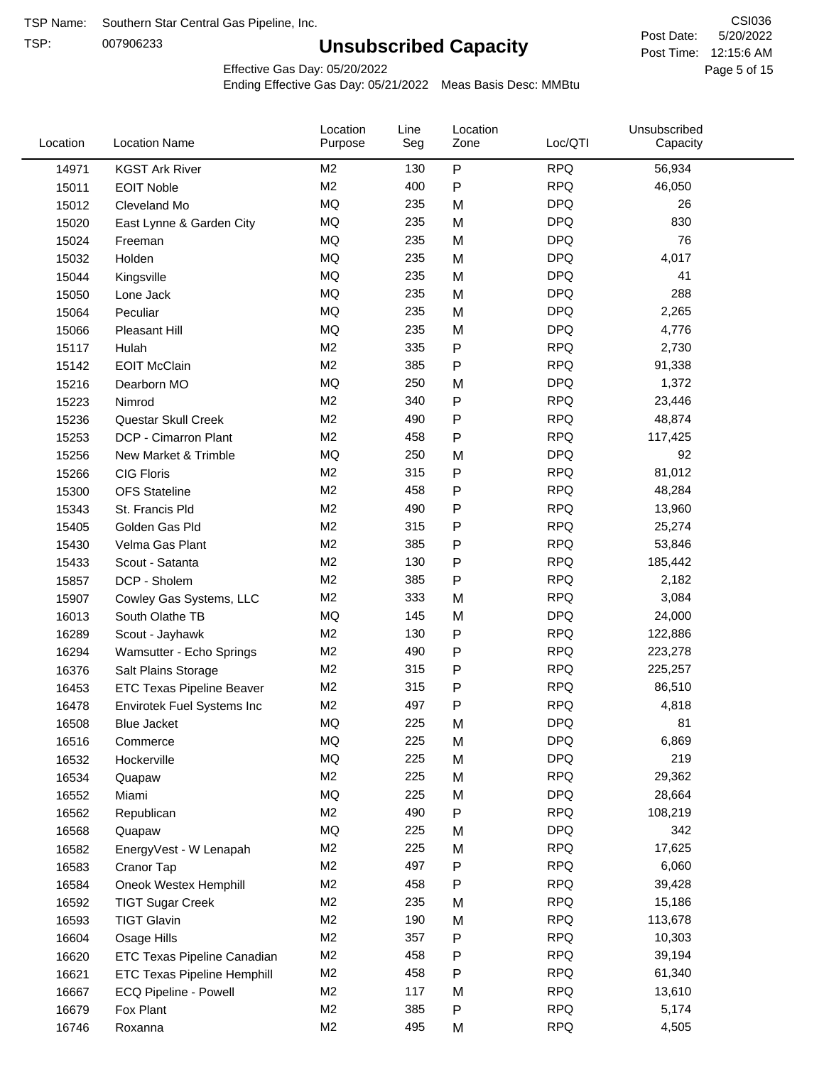TSP:

# **Unsubscribed Capacity**

5/20/2022 Page 5 of 15 Post Time: 12:15:6 AM CSI036 Post Date:

Effective Gas Day: 05/20/2022

| Location | <b>Location Name</b>               | Location<br>Purpose | Line<br>Seg | Location<br>Zone | Loc/QTI    | Unsubscribed<br>Capacity |  |
|----------|------------------------------------|---------------------|-------------|------------------|------------|--------------------------|--|
| 14971    | <b>KGST Ark River</b>              | M <sub>2</sub>      | 130         | $\mathsf{P}$     | <b>RPQ</b> | 56,934                   |  |
| 15011    | <b>EOIT Noble</b>                  | M <sub>2</sub>      | 400         | ${\sf P}$        | <b>RPQ</b> | 46,050                   |  |
| 15012    | Cleveland Mo                       | <b>MQ</b>           | 235         | M                | <b>DPQ</b> | 26                       |  |
| 15020    | East Lynne & Garden City           | <b>MQ</b>           | 235         | M                | <b>DPQ</b> | 830                      |  |
| 15024    | Freeman                            | <b>MQ</b>           | 235         | M                | <b>DPQ</b> | 76                       |  |
| 15032    | Holden                             | <b>MQ</b>           | 235         | M                | <b>DPQ</b> | 4,017                    |  |
| 15044    | Kingsville                         | <b>MQ</b>           | 235         | M                | <b>DPQ</b> | 41                       |  |
| 15050    | Lone Jack                          | <b>MQ</b>           | 235         | M                | <b>DPQ</b> | 288                      |  |
| 15064    | Peculiar                           | <b>MQ</b>           | 235         | M                | <b>DPQ</b> | 2,265                    |  |
| 15066    | <b>Pleasant Hill</b>               | <b>MQ</b>           | 235         | M                | <b>DPQ</b> | 4,776                    |  |
| 15117    | Hulah                              | M <sub>2</sub>      | 335         | P                | <b>RPQ</b> | 2,730                    |  |
| 15142    | <b>EOIT McClain</b>                | M <sub>2</sub>      | 385         | P                | <b>RPQ</b> | 91,338                   |  |
| 15216    | Dearborn MO                        | MQ                  | 250         | M                | <b>DPQ</b> | 1,372                    |  |
| 15223    | Nimrod                             | M <sub>2</sub>      | 340         | ${\sf P}$        | <b>RPQ</b> | 23,446                   |  |
| 15236    | Questar Skull Creek                | M <sub>2</sub>      | 490         | P                | <b>RPQ</b> | 48,874                   |  |
| 15253    | DCP - Cimarron Plant               | M <sub>2</sub>      | 458         | $\mathsf{P}$     | <b>RPQ</b> | 117,425                  |  |
| 15256    | New Market & Trimble               | <b>MQ</b>           | 250         | M                | <b>DPQ</b> | 92                       |  |
| 15266    | <b>CIG Floris</b>                  | M <sub>2</sub>      | 315         | P                | <b>RPQ</b> | 81,012                   |  |
| 15300    | <b>OFS Stateline</b>               | M <sub>2</sub>      | 458         | P                | <b>RPQ</b> | 48,284                   |  |
| 15343    | St. Francis Pld                    | M <sub>2</sub>      | 490         | P                | <b>RPQ</b> | 13,960                   |  |
| 15405    | Golden Gas Pld                     | M <sub>2</sub>      | 315         | P                | <b>RPQ</b> | 25,274                   |  |
| 15430    | Velma Gas Plant                    | M <sub>2</sub>      | 385         | P                | <b>RPQ</b> | 53,846                   |  |
| 15433    | Scout - Satanta                    | M <sub>2</sub>      | 130         | ${\sf P}$        | <b>RPQ</b> | 185,442                  |  |
| 15857    | DCP - Sholem                       | M <sub>2</sub>      | 385         | P                | <b>RPQ</b> | 2,182                    |  |
| 15907    | Cowley Gas Systems, LLC            | M <sub>2</sub>      | 333         | M                | <b>RPQ</b> | 3,084                    |  |
| 16013    | South Olathe TB                    | MQ                  | 145         | M                | <b>DPQ</b> | 24,000                   |  |
| 16289    | Scout - Jayhawk                    | M <sub>2</sub>      | 130         | ${\sf P}$        | <b>RPQ</b> | 122,886                  |  |
| 16294    | Wamsutter - Echo Springs           | M <sub>2</sub>      | 490         | P                | <b>RPQ</b> | 223,278                  |  |
| 16376    | Salt Plains Storage                | M <sub>2</sub>      | 315         | P                | <b>RPQ</b> | 225,257                  |  |
| 16453    | <b>ETC Texas Pipeline Beaver</b>   | M <sub>2</sub>      | 315         | ${\sf P}$        | <b>RPQ</b> | 86,510                   |  |
| 16478    | Envirotek Fuel Systems Inc         | M <sub>2</sub>      | 497         | P                | <b>RPQ</b> | 4,818                    |  |
| 16508    | Blue Jacket                        | <b>MQ</b>           | 225         | M                | <b>DPQ</b> | 81                       |  |
| 16516    | Commerce                           | MQ                  | 225         | M                | <b>DPQ</b> | 6,869                    |  |
| 16532    | Hockerville                        | <b>MQ</b>           | 225         | M                | <b>DPQ</b> | 219                      |  |
| 16534    | Quapaw                             | M <sub>2</sub>      | 225         | M                | <b>RPQ</b> | 29,362                   |  |
| 16552    | Miami                              | MQ                  | 225         | M                | <b>DPQ</b> | 28,664                   |  |
| 16562    | Republican                         | M <sub>2</sub>      | 490         | ${\sf P}$        | <b>RPQ</b> | 108,219                  |  |
| 16568    | Quapaw                             | MQ                  | 225         | M                | <b>DPQ</b> | 342                      |  |
| 16582    | EnergyVest - W Lenapah             | M <sub>2</sub>      | 225         | M                | <b>RPQ</b> | 17,625                   |  |
| 16583    | Cranor Tap                         | M <sub>2</sub>      | 497         | P                | <b>RPQ</b> | 6,060                    |  |
| 16584    | Oneok Westex Hemphill              | M <sub>2</sub>      | 458         | P                | <b>RPQ</b> | 39,428                   |  |
| 16592    | <b>TIGT Sugar Creek</b>            | M <sub>2</sub>      | 235         | M                | <b>RPQ</b> | 15,186                   |  |
| 16593    | <b>TIGT Glavin</b>                 | M <sub>2</sub>      | 190         | M                | <b>RPQ</b> | 113,678                  |  |
| 16604    | Osage Hills                        | M <sub>2</sub>      | 357         | P                | <b>RPQ</b> | 10,303                   |  |
| 16620    | ETC Texas Pipeline Canadian        | M <sub>2</sub>      | 458         | P                | <b>RPQ</b> | 39,194                   |  |
| 16621    | <b>ETC Texas Pipeline Hemphill</b> | M <sub>2</sub>      | 458         | P                | <b>RPQ</b> | 61,340                   |  |
| 16667    | ECQ Pipeline - Powell              | M <sub>2</sub>      | 117         | M                | <b>RPQ</b> | 13,610                   |  |
| 16679    | Fox Plant                          | M <sub>2</sub>      | 385         | P                | <b>RPQ</b> | 5,174                    |  |
| 16746    | Roxanna                            | M <sub>2</sub>      | 495         | M                | <b>RPQ</b> | 4,505                    |  |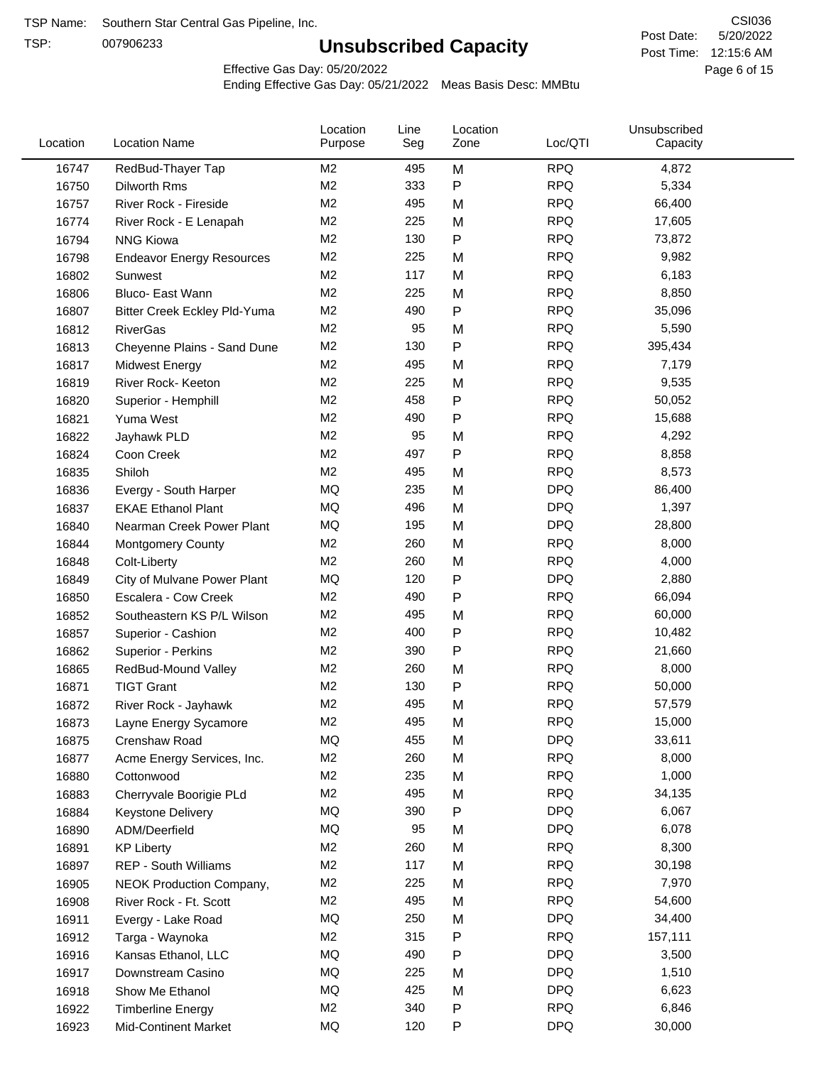TSP:

# **Unsubscribed Capacity**

5/20/2022 Page 6 of 15 Post Time: 12:15:6 AM CSI036 Post Date:

Effective Gas Day: 05/20/2022

| Location | <b>Location Name</b>             | Location<br>Purpose | Line<br>Seg | Location<br>Zone | Loc/QTI    | Unsubscribed<br>Capacity |  |
|----------|----------------------------------|---------------------|-------------|------------------|------------|--------------------------|--|
| 16747    | RedBud-Thayer Tap                | M <sub>2</sub>      | 495         | M                | <b>RPQ</b> | 4,872                    |  |
| 16750    | Dilworth Rms                     | M <sub>2</sub>      | 333         | ${\sf P}$        | <b>RPQ</b> | 5,334                    |  |
| 16757    | River Rock - Fireside            | M <sub>2</sub>      | 495         | M                | <b>RPQ</b> | 66,400                   |  |
| 16774    | River Rock - E Lenapah           | M <sub>2</sub>      | 225         | M                | <b>RPQ</b> | 17,605                   |  |
| 16794    | <b>NNG Kiowa</b>                 | M <sub>2</sub>      | 130         | P                | <b>RPQ</b> | 73,872                   |  |
| 16798    | <b>Endeavor Energy Resources</b> | M <sub>2</sub>      | 225         | M                | <b>RPQ</b> | 9,982                    |  |
| 16802    | Sunwest                          | M <sub>2</sub>      | 117         | M                | <b>RPQ</b> | 6,183                    |  |
| 16806    | Bluco- East Wann                 | M <sub>2</sub>      | 225         | M                | <b>RPQ</b> | 8,850                    |  |
| 16807    | Bitter Creek Eckley Pld-Yuma     | M <sub>2</sub>      | 490         | P                | <b>RPQ</b> | 35,096                   |  |
| 16812    | <b>RiverGas</b>                  | M <sub>2</sub>      | 95          | M                | <b>RPQ</b> | 5,590                    |  |
| 16813    | Cheyenne Plains - Sand Dune      | M <sub>2</sub>      | 130         | P                | <b>RPQ</b> | 395,434                  |  |
| 16817    | <b>Midwest Energy</b>            | M <sub>2</sub>      | 495         | M                | <b>RPQ</b> | 7,179                    |  |
| 16819    | River Rock- Keeton               | M <sub>2</sub>      | 225         | M                | <b>RPQ</b> | 9,535                    |  |
| 16820    | Superior - Hemphill              | M <sub>2</sub>      | 458         | P                | <b>RPQ</b> | 50,052                   |  |
| 16821    | Yuma West                        | M <sub>2</sub>      | 490         | P                | <b>RPQ</b> | 15,688                   |  |
| 16822    | Jayhawk PLD                      | M <sub>2</sub>      | 95          | M                | <b>RPQ</b> | 4,292                    |  |
| 16824    | Coon Creek                       | M <sub>2</sub>      | 497         | P                | <b>RPQ</b> | 8,858                    |  |
| 16835    | Shiloh                           | M <sub>2</sub>      | 495         | M                | <b>RPQ</b> | 8,573                    |  |
| 16836    | Evergy - South Harper            | MQ                  | 235         | M                | <b>DPQ</b> | 86,400                   |  |
| 16837    | <b>EKAE Ethanol Plant</b>        | MQ                  | 496         | M                | <b>DPQ</b> | 1,397                    |  |
| 16840    | Nearman Creek Power Plant        | MQ                  | 195         | M                | <b>DPQ</b> | 28,800                   |  |
| 16844    | <b>Montgomery County</b>         | M <sub>2</sub>      | 260         | M                | <b>RPQ</b> | 8,000                    |  |
| 16848    | Colt-Liberty                     | M <sub>2</sub>      | 260         | M                | <b>RPQ</b> | 4,000                    |  |
| 16849    | City of Mulvane Power Plant      | MQ                  | 120         | ${\sf P}$        | <b>DPQ</b> | 2,880                    |  |
| 16850    | Escalera - Cow Creek             | M <sub>2</sub>      | 490         | $\mathsf{P}$     | <b>RPQ</b> | 66,094                   |  |
| 16852    | Southeastern KS P/L Wilson       | M <sub>2</sub>      | 495         | M                | <b>RPQ</b> | 60,000                   |  |
| 16857    | Superior - Cashion               | M <sub>2</sub>      | 400         | $\mathsf{P}$     | <b>RPQ</b> | 10,482                   |  |
| 16862    | Superior - Perkins               | M <sub>2</sub>      | 390         | $\mathsf{P}$     | <b>RPQ</b> | 21,660                   |  |
| 16865    | RedBud-Mound Valley              | M <sub>2</sub>      | 260         | M                | <b>RPQ</b> | 8,000                    |  |
| 16871    | <b>TIGT Grant</b>                | M <sub>2</sub>      | 130         | P                | <b>RPQ</b> | 50,000                   |  |
| 16872    | River Rock - Jayhawk             | M <sub>2</sub>      | 495         | M                | <b>RPQ</b> | 57,579                   |  |
| 16873    | Layne Energy Sycamore            | M <sub>2</sub>      | 495         | M                | <b>RPQ</b> | 15,000                   |  |
| 16875    | Crenshaw Road                    | MQ                  | 455         | M                | <b>DPQ</b> | 33,611                   |  |
| 16877    | Acme Energy Services, Inc.       | M <sub>2</sub>      | 260         | M                | <b>RPQ</b> | 8,000                    |  |
| 16880    | Cottonwood                       | M <sub>2</sub>      | 235         | M                | <b>RPQ</b> | 1,000                    |  |
| 16883    | Cherryvale Boorigie PLd          | M <sub>2</sub>      | 495         | M                | <b>RPQ</b> | 34,135                   |  |
| 16884    | Keystone Delivery                | MQ                  | 390         | P                | <b>DPQ</b> | 6,067                    |  |
| 16890    | ADM/Deerfield                    | MQ                  | 95          | M                | <b>DPQ</b> | 6,078                    |  |
| 16891    | <b>KP Liberty</b>                | M <sub>2</sub>      | 260         | M                | <b>RPQ</b> | 8,300                    |  |
| 16897    | <b>REP - South Williams</b>      | M <sub>2</sub>      | 117         | M                | <b>RPQ</b> | 30,198                   |  |
| 16905    | <b>NEOK Production Company,</b>  | M <sub>2</sub>      | 225         | M                | <b>RPQ</b> | 7,970                    |  |
| 16908    | River Rock - Ft. Scott           | M <sub>2</sub>      | 495         | M                | <b>RPQ</b> | 54,600                   |  |
| 16911    | Evergy - Lake Road               | MQ                  | 250         | M                | <b>DPQ</b> | 34,400                   |  |
| 16912    | Targa - Waynoka                  | M <sub>2</sub>      | 315         | P                | <b>RPQ</b> | 157,111                  |  |
| 16916    | Kansas Ethanol, LLC              | MQ                  | 490         | P                | <b>DPQ</b> | 3,500                    |  |
| 16917    | Downstream Casino                | MQ                  | 225         | M                | <b>DPQ</b> | 1,510                    |  |
| 16918    | Show Me Ethanol                  | MQ                  | 425         | M                | <b>DPQ</b> | 6,623                    |  |
| 16922    | <b>Timberline Energy</b>         | M <sub>2</sub>      | 340         | P                | <b>RPQ</b> | 6,846                    |  |
| 16923    | <b>Mid-Continent Market</b>      | MQ                  | 120         | P                | <b>DPQ</b> | 30,000                   |  |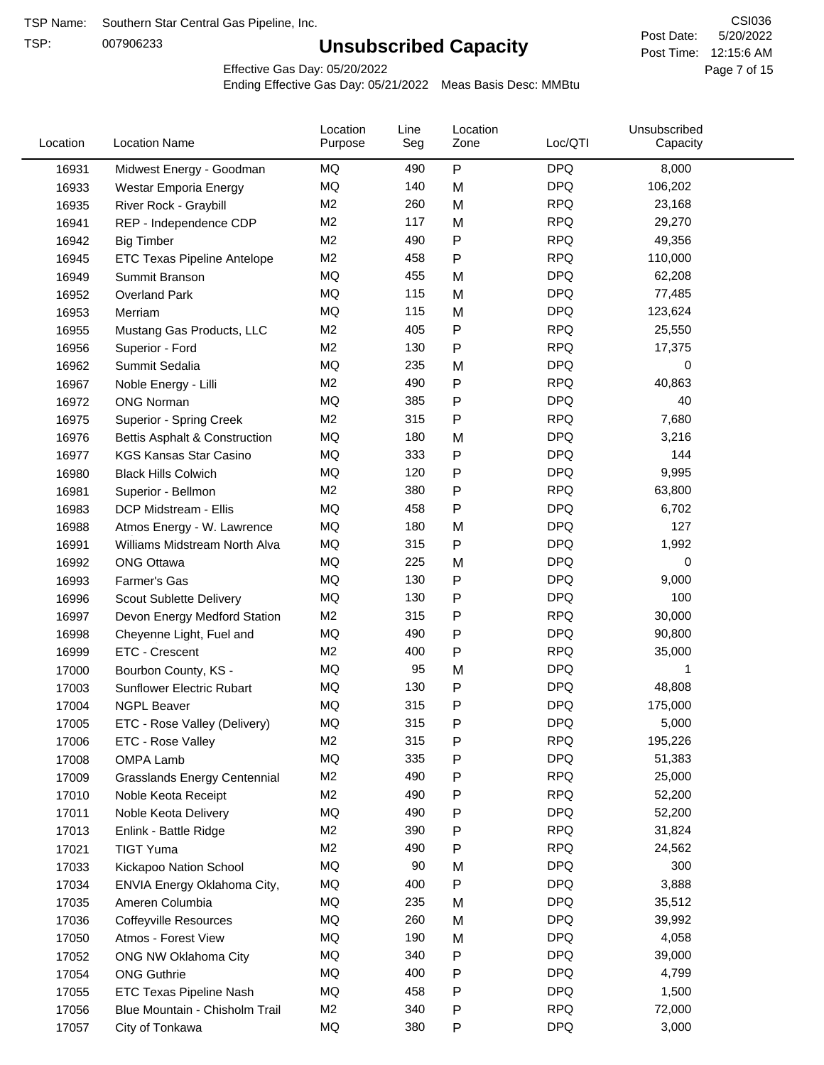TSP:

# **Unsubscribed Capacity**

5/20/2022 Page 7 of 15 Post Time: 12:15:6 AM CSI036 Post Date:

Effective Gas Day: 05/20/2022

| Location | <b>Location Name</b>                | Location<br>Purpose | Line<br>Seg | Location<br>Zone  | Loc/QTI    | Unsubscribed<br>Capacity |  |
|----------|-------------------------------------|---------------------|-------------|-------------------|------------|--------------------------|--|
| 16931    | Midwest Energy - Goodman            | ΜQ                  | 490         | $\mathsf{P}$      | <b>DPQ</b> | 8,000                    |  |
| 16933    | Westar Emporia Energy               | MQ                  | 140         | M                 | <b>DPQ</b> | 106,202                  |  |
| 16935    | River Rock - Graybill               | M <sub>2</sub>      | 260         | M                 | <b>RPQ</b> | 23,168                   |  |
| 16941    | REP - Independence CDP              | M <sub>2</sub>      | 117         | M                 | <b>RPQ</b> | 29,270                   |  |
| 16942    | <b>Big Timber</b>                   | M <sub>2</sub>      | 490         | $\mathsf{P}$      | <b>RPQ</b> | 49,356                   |  |
| 16945    | ETC Texas Pipeline Antelope         | M <sub>2</sub>      | 458         | $\mathsf{P}$      | <b>RPQ</b> | 110,000                  |  |
| 16949    | Summit Branson                      | MQ                  | 455         | M                 | <b>DPQ</b> | 62,208                   |  |
| 16952    | <b>Overland Park</b>                | MQ                  | 115         | M                 | <b>DPQ</b> | 77,485                   |  |
| 16953    | Merriam                             | MQ                  | 115         | M                 | <b>DPQ</b> | 123,624                  |  |
| 16955    | Mustang Gas Products, LLC           | M <sub>2</sub>      | 405         | $\mathsf{P}$      | <b>RPQ</b> | 25,550                   |  |
| 16956    | Superior - Ford                     | M <sub>2</sub>      | 130         | $\mathsf{P}$      | <b>RPQ</b> | 17,375                   |  |
| 16962    | Summit Sedalia                      | <b>MQ</b>           | 235         | M                 | <b>DPQ</b> | 0                        |  |
| 16967    | Noble Energy - Lilli                | M <sub>2</sub>      | 490         | $\mathsf{P}$      | <b>RPQ</b> | 40,863                   |  |
| 16972    | <b>ONG Norman</b>                   | MQ                  | 385         | $\mathsf{P}$      | <b>DPQ</b> | 40                       |  |
| 16975    | <b>Superior - Spring Creek</b>      | M <sub>2</sub>      | 315         | $\mathsf{P}$      | <b>RPQ</b> | 7,680                    |  |
| 16976    | Bettis Asphalt & Construction       | MQ                  | 180         | M                 | <b>DPQ</b> | 3,216                    |  |
| 16977    | <b>KGS Kansas Star Casino</b>       | MQ                  | 333         | P                 | <b>DPQ</b> | 144                      |  |
| 16980    | <b>Black Hills Colwich</b>          | MQ                  | 120         | P                 | <b>DPQ</b> | 9,995                    |  |
| 16981    | Superior - Bellmon                  | M <sub>2</sub>      | 380         | $\mathsf{P}$      | <b>RPQ</b> | 63,800                   |  |
| 16983    | DCP Midstream - Ellis               | MQ                  | 458         | $\mathsf{P}$      | <b>DPQ</b> | 6,702                    |  |
| 16988    | Atmos Energy - W. Lawrence          | MQ                  | 180         | M                 | <b>DPQ</b> | 127                      |  |
| 16991    | Williams Midstream North Alva       | MQ                  | 315         | $\mathsf{P}$      | <b>DPQ</b> | 1,992                    |  |
| 16992    | <b>ONG Ottawa</b>                   | MQ                  | 225         | M                 | <b>DPQ</b> | 0                        |  |
| 16993    | Farmer's Gas                        | MQ                  | 130         | $\mathsf{P}$      | <b>DPQ</b> | 9,000                    |  |
|          |                                     | MQ                  | 130         | P                 | <b>DPQ</b> | 100                      |  |
| 16996    | Scout Sublette Delivery             | M <sub>2</sub>      | 315         |                   | <b>RPQ</b> | 30,000                   |  |
| 16997    | Devon Energy Medford Station        | MQ                  | 490         | P                 | <b>DPQ</b> |                          |  |
| 16998    | Cheyenne Light, Fuel and            | M <sub>2</sub>      |             | P<br>$\mathsf{P}$ | <b>RPQ</b> | 90,800                   |  |
| 16999    | ETC - Crescent                      |                     | 400         |                   |            | 35,000                   |  |
| 17000    | Bourbon County, KS -                | MQ                  | 95          | M                 | <b>DPQ</b> | 1                        |  |
| 17003    | Sunflower Electric Rubart           | MQ                  | 130         | $\mathsf{P}$      | <b>DPQ</b> | 48,808                   |  |
| 17004    | <b>NGPL Beaver</b>                  | MQ                  | 315         | P                 | <b>DPQ</b> | 175,000                  |  |
| 17005    | ETC - Rose Valley (Delivery)        | MQ                  | 315         | P                 | <b>DPQ</b> | 5,000                    |  |
| 17006    | ETC - Rose Valley                   | M <sub>2</sub>      | 315         | P                 | <b>RPQ</b> | 195,226                  |  |
| 17008    | OMPA Lamb                           | MQ                  | 335         | ${\sf P}$         | <b>DPQ</b> | 51,383                   |  |
| 17009    | <b>Grasslands Energy Centennial</b> | M <sub>2</sub>      | 490         | $\mathsf{P}$      | <b>RPQ</b> | 25,000                   |  |
| 17010    | Noble Keota Receipt                 | M <sub>2</sub>      | 490         | $\mathsf{P}$      | <b>RPQ</b> | 52,200                   |  |
| 17011    | Noble Keota Delivery                | MQ                  | 490         | $\mathsf{P}$      | <b>DPQ</b> | 52,200                   |  |
| 17013    | Enlink - Battle Ridge               | M <sub>2</sub>      | 390         | $\mathsf{P}$      | <b>RPQ</b> | 31,824                   |  |
| 17021    | <b>TIGT Yuma</b>                    | M <sub>2</sub>      | 490         | $\mathsf{P}$      | <b>RPQ</b> | 24,562                   |  |
| 17033    | Kickapoo Nation School              | MQ                  | 90          | M                 | <b>DPQ</b> | 300                      |  |
| 17034    | ENVIA Energy Oklahoma City,         | MQ                  | 400         | $\mathsf{P}$      | <b>DPQ</b> | 3,888                    |  |
| 17035    | Ameren Columbia                     | MQ                  | 235         | M                 | <b>DPQ</b> | 35,512                   |  |
| 17036    | <b>Coffeyville Resources</b>        | MQ                  | 260         | M                 | <b>DPQ</b> | 39,992                   |  |
| 17050    | Atmos - Forest View                 | MQ                  | 190         | M                 | <b>DPQ</b> | 4,058                    |  |
| 17052    | ONG NW Oklahoma City                | MQ                  | 340         | $\mathsf{P}$      | <b>DPQ</b> | 39,000                   |  |
| 17054    | <b>ONG Guthrie</b>                  | MQ                  | 400         | $\mathsf{P}$      | <b>DPQ</b> | 4,799                    |  |
| 17055    | ETC Texas Pipeline Nash             | MQ                  | 458         | P                 | <b>DPQ</b> | 1,500                    |  |
| 17056    | Blue Mountain - Chisholm Trail      | M <sub>2</sub>      | 340         | $\mathsf{P}$      | <b>RPQ</b> | 72,000                   |  |
| 17057    | City of Tonkawa                     | MQ                  | 380         | P                 | <b>DPQ</b> | 3,000                    |  |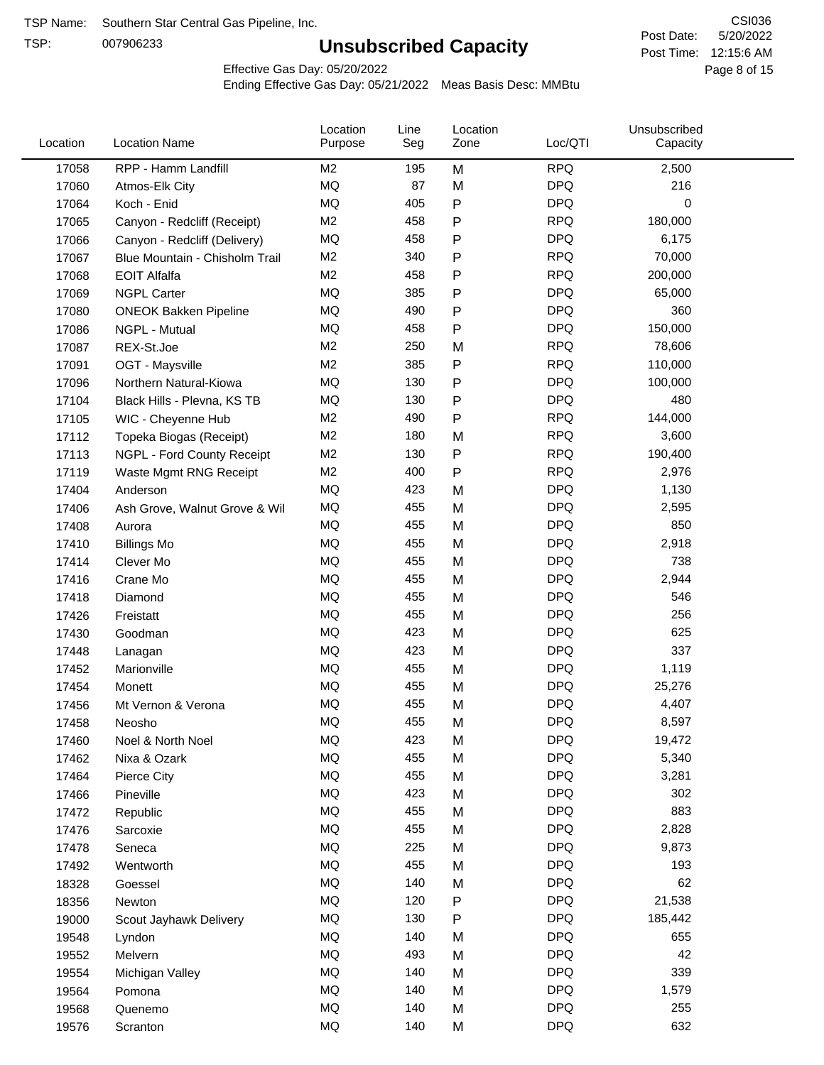TSP:

# **Unsubscribed Capacity**

5/20/2022 Page 8 of 15 Post Time: 12:15:6 AM CSI036 Post Date:

Effective Gas Day: 05/20/2022

| Location | <b>Location Name</b>           | Location<br>Purpose | Line<br>Seg | Location<br>Zone | Loc/QTI    | Unsubscribed<br>Capacity |  |
|----------|--------------------------------|---------------------|-------------|------------------|------------|--------------------------|--|
| 17058    | RPP - Hamm Landfill            | M <sub>2</sub>      | 195         | M                | <b>RPQ</b> | 2,500                    |  |
| 17060    | Atmos-Elk City                 | MQ                  | 87          | M                | <b>DPQ</b> | 216                      |  |
| 17064    | Koch - Enid                    | MQ                  | 405         | ${\sf P}$        | <b>DPQ</b> | 0                        |  |
| 17065    | Canyon - Redcliff (Receipt)    | M <sub>2</sub>      | 458         | $\mathsf{P}$     | <b>RPQ</b> | 180,000                  |  |
| 17066    | Canyon - Redcliff (Delivery)   | MQ                  | 458         | $\mathsf{P}$     | <b>DPQ</b> | 6,175                    |  |
| 17067    | Blue Mountain - Chisholm Trail | M <sub>2</sub>      | 340         | $\mathsf{P}$     | <b>RPQ</b> | 70,000                   |  |
| 17068    | <b>EOIT Alfalfa</b>            | M <sub>2</sub>      | 458         | $\mathsf{P}$     | <b>RPQ</b> | 200,000                  |  |
| 17069    | <b>NGPL Carter</b>             | MQ                  | 385         | $\mathsf{P}$     | <b>DPQ</b> | 65,000                   |  |
| 17080    | <b>ONEOK Bakken Pipeline</b>   | MQ                  | 490         | $\mathsf{P}$     | <b>DPQ</b> | 360                      |  |
| 17086    | NGPL - Mutual                  | MQ                  | 458         | $\mathsf{P}$     | <b>DPQ</b> | 150,000                  |  |
| 17087    | REX-St.Joe                     | M <sub>2</sub>      | 250         | M                | <b>RPQ</b> | 78,606                   |  |
| 17091    | OGT - Maysville                | M <sub>2</sub>      | 385         | $\mathsf{P}$     | <b>RPQ</b> | 110,000                  |  |
| 17096    | Northern Natural-Kiowa         | <b>MQ</b>           | 130         | $\mathsf{P}$     | <b>DPQ</b> | 100,000                  |  |
| 17104    | Black Hills - Plevna, KS TB    | MQ                  | 130         | $\mathsf{P}$     | <b>DPQ</b> | 480                      |  |
| 17105    | WIC - Cheyenne Hub             | M <sub>2</sub>      | 490         | $\mathsf{P}$     | <b>RPQ</b> | 144,000                  |  |
| 17112    | Topeka Biogas (Receipt)        | M <sub>2</sub>      | 180         | M                | <b>RPQ</b> | 3,600                    |  |
| 17113    | NGPL - Ford County Receipt     | M <sub>2</sub>      | 130         | $\mathsf{P}$     | <b>RPQ</b> | 190,400                  |  |
| 17119    | Waste Mgmt RNG Receipt         | M <sub>2</sub>      | 400         | $\mathsf{P}$     | <b>RPQ</b> | 2,976                    |  |
| 17404    | Anderson                       | MQ                  | 423         | M                | <b>DPQ</b> | 1,130                    |  |
| 17406    | Ash Grove, Walnut Grove & Wil  | MQ                  | 455         | M                | <b>DPQ</b> | 2,595                    |  |
| 17408    | Aurora                         | MQ                  | 455         | M                | <b>DPQ</b> | 850                      |  |
| 17410    | <b>Billings Mo</b>             | MQ                  | 455         | M                | <b>DPQ</b> | 2,918                    |  |
| 17414    | Clever Mo                      | MQ                  | 455         | M                | <b>DPQ</b> | 738                      |  |
| 17416    | Crane Mo                       | MQ                  | 455         | M                | <b>DPQ</b> | 2,944                    |  |
| 17418    | Diamond                        | <b>MQ</b>           | 455         | M                | <b>DPQ</b> | 546                      |  |
| 17426    | Freistatt                      | MQ                  | 455         | M                | <b>DPQ</b> | 256                      |  |
| 17430    | Goodman                        | MQ                  | 423         | M                | <b>DPQ</b> | 625                      |  |
| 17448    | Lanagan                        | MQ                  | 423         | M                | <b>DPQ</b> | 337                      |  |
| 17452    | Marionville                    | MQ                  | 455         | M                | <b>DPQ</b> | 1,119                    |  |
| 17454    | Monett                         | MQ                  | 455         | M                | <b>DPQ</b> | 25,276                   |  |
| 17456    | Mt Vernon & Verona             | MQ                  | 455         | M                | <b>DPQ</b> | 4,407                    |  |
| 17458    | Neosho                         | MQ                  | 455         | M                | <b>DPQ</b> | 8,597                    |  |
| 17460    | Noel & North Noel              | MQ                  | 423         | M                | <b>DPQ</b> | 19,472                   |  |
| 17462    | Nixa & Ozark                   | MQ                  | 455         | M                | <b>DPQ</b> | 5,340                    |  |
| 17464    | Pierce City                    | MQ                  | 455         | M                | <b>DPQ</b> | 3,281                    |  |
| 17466    | Pineville                      | MQ                  | 423         | M                | <b>DPQ</b> | 302                      |  |
| 17472    | Republic                       | MQ                  | 455         | M                | <b>DPQ</b> | 883                      |  |
| 17476    | Sarcoxie                       | MQ                  | 455         | M                | <b>DPQ</b> | 2,828                    |  |
| 17478    | Seneca                         | MQ                  | 225         | M                | <b>DPQ</b> | 9,873                    |  |
| 17492    | Wentworth                      | MQ                  | 455         | M                | <b>DPQ</b> | 193                      |  |
| 18328    | Goessel                        | MQ                  | 140         | M                | <b>DPQ</b> | 62                       |  |
| 18356    | Newton                         | MQ                  | 120         | P                | <b>DPQ</b> | 21,538                   |  |
| 19000    | Scout Jayhawk Delivery         | MQ                  | 130         | P                | <b>DPQ</b> | 185,442                  |  |
| 19548    | Lyndon                         | MQ                  | 140         | M                | <b>DPQ</b> | 655                      |  |
| 19552    | Melvern                        | MQ                  | 493         | M                | <b>DPQ</b> | 42                       |  |
| 19554    | Michigan Valley                | MQ                  | 140         | M                | <b>DPQ</b> | 339                      |  |
| 19564    | Pomona                         | MQ                  | 140         | M                | <b>DPQ</b> | 1,579                    |  |
| 19568    | Quenemo                        | MQ                  | 140         | M                | <b>DPQ</b> | 255                      |  |
| 19576    | Scranton                       | $\sf{MQ}$           | 140         | M                | <b>DPQ</b> | 632                      |  |
|          |                                |                     |             |                  |            |                          |  |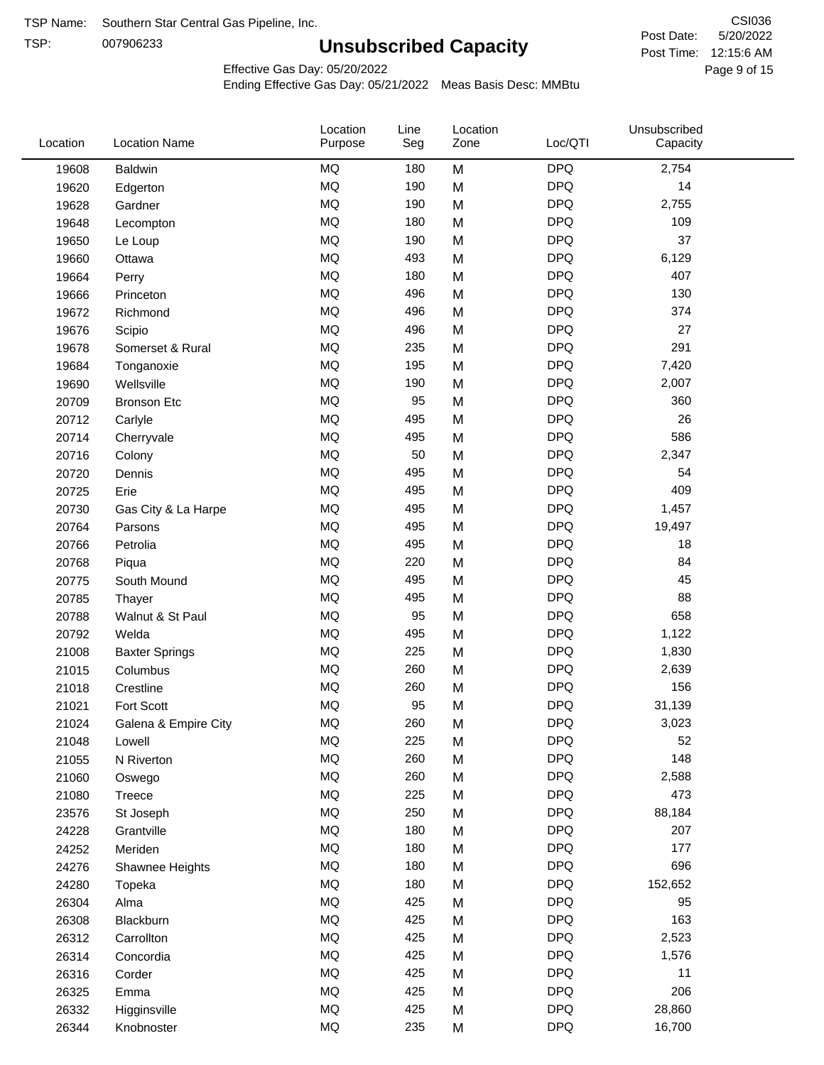TSP:

# **Unsubscribed Capacity**

5/20/2022 Page 9 of 15 Post Time: 12:15:6 AM CSI036 Post Date:

Effective Gas Day: 05/20/2022

| Location | <b>Location Name</b>  | Location<br>Purpose | Line<br>Seg | Location<br>Zone | Loc/QTI    | Unsubscribed<br>Capacity |  |
|----------|-----------------------|---------------------|-------------|------------------|------------|--------------------------|--|
| 19608    | <b>Baldwin</b>        | MQ                  | 180         | M                | <b>DPQ</b> | 2,754                    |  |
| 19620    | Edgerton              | MQ                  | 190         | M                | <b>DPQ</b> | 14                       |  |
| 19628    | Gardner               | <b>MQ</b>           | 190         | M                | <b>DPQ</b> | 2,755                    |  |
| 19648    | Lecompton             | <b>MQ</b>           | 180         | M                | <b>DPQ</b> | 109                      |  |
| 19650    | Le Loup               | <b>MQ</b>           | 190         | M                | <b>DPQ</b> | 37                       |  |
| 19660    | Ottawa                | <b>MQ</b>           | 493         | M                | <b>DPQ</b> | 6,129                    |  |
| 19664    | Perry                 | MQ                  | 180         | M                | <b>DPQ</b> | 407                      |  |
| 19666    | Princeton             | MQ                  | 496         | M                | <b>DPQ</b> | 130                      |  |
| 19672    | Richmond              | <b>MQ</b>           | 496         | M                | <b>DPQ</b> | 374                      |  |
| 19676    | Scipio                | <b>MQ</b>           | 496         | M                | <b>DPQ</b> | 27                       |  |
| 19678    | Somerset & Rural      | MQ                  | 235         | M                | <b>DPQ</b> | 291                      |  |
| 19684    | Tonganoxie            | MQ                  | 195         | M                | <b>DPQ</b> | 7,420                    |  |
| 19690    | Wellsville            | <b>MQ</b>           | 190         | M                | <b>DPQ</b> | 2,007                    |  |
| 20709    | <b>Bronson Etc</b>    | <b>MQ</b>           | 95          | M                | <b>DPQ</b> | 360                      |  |
| 20712    | Carlyle               | MQ                  | 495         | M                | <b>DPQ</b> | 26                       |  |
| 20714    | Cherryvale            | MQ                  | 495         | M                | <b>DPQ</b> | 586                      |  |
| 20716    | Colony                | MQ                  | 50          | M                | <b>DPQ</b> | 2,347                    |  |
| 20720    | Dennis                | <b>MQ</b>           | 495         | M                | <b>DPQ</b> | 54                       |  |
| 20725    | Erie                  | <b>MQ</b>           | 495         | M                | <b>DPQ</b> | 409                      |  |
| 20730    | Gas City & La Harpe   | MQ                  | 495         | M                | <b>DPQ</b> | 1,457                    |  |
| 20764    | Parsons               | MQ                  | 495         | M                | <b>DPQ</b> | 19,497                   |  |
| 20766    | Petrolia              | <b>MQ</b>           | 495         | M                | <b>DPQ</b> | 18                       |  |
| 20768    | Piqua                 | <b>MQ</b>           | 220         | M                | <b>DPQ</b> | 84                       |  |
| 20775    | South Mound           | <b>MQ</b>           | 495         | M                | <b>DPQ</b> | 45                       |  |
| 20785    | Thayer                | MQ                  | 495         | M                | <b>DPQ</b> | 88                       |  |
| 20788    | Walnut & St Paul      | <b>MQ</b>           | 95          | M                | <b>DPQ</b> | 658                      |  |
| 20792    | Welda                 | <b>MQ</b>           | 495         | M                | <b>DPQ</b> | 1,122                    |  |
| 21008    | <b>Baxter Springs</b> | <b>MQ</b>           | 225         | M                | <b>DPQ</b> | 1,830                    |  |
| 21015    | Columbus              | <b>MQ</b>           | 260         | M                | <b>DPQ</b> | 2,639                    |  |
| 21018    | Crestline             | <b>MQ</b>           | 260         | M                | <b>DPQ</b> | 156                      |  |
| 21021    | Fort Scott            | <b>MQ</b>           | 95          | M                | <b>DPQ</b> | 31,139                   |  |
| 21024    | Galena & Empire City  | MQ                  | 260         | М                | <b>DPQ</b> | 3,023                    |  |
| 21048    | Lowell                | MQ                  | 225         | M                | <b>DPQ</b> | 52                       |  |
| 21055    | N Riverton            | MQ                  | 260         | M                | <b>DPQ</b> | 148                      |  |
| 21060    | Oswego                | MQ                  | 260         | M                | <b>DPQ</b> | 2,588                    |  |
| 21080    | Treece                | MQ                  | 225         | M                | <b>DPQ</b> | 473                      |  |
| 23576    | St Joseph             | MQ                  | 250         | M                | <b>DPQ</b> | 88,184                   |  |
| 24228    | Grantville            | MQ                  | 180         | M                | <b>DPQ</b> | 207                      |  |
| 24252    | Meriden               | $\sf{MQ}$           | 180         | M                | <b>DPQ</b> | 177                      |  |
| 24276    | Shawnee Heights       | MQ                  | 180         | M                | <b>DPQ</b> | 696                      |  |
| 24280    | Topeka                | MQ                  | 180         | M                | <b>DPQ</b> | 152,652                  |  |
| 26304    | Alma                  | MQ                  | 425         | M                | <b>DPQ</b> | 95                       |  |
| 26308    | Blackburn             | MQ                  | 425         | M                | <b>DPQ</b> | 163                      |  |
| 26312    | Carrollton            | MQ                  | 425         | M                | <b>DPQ</b> | 2,523                    |  |
| 26314    | Concordia             | MQ                  | 425         | M                | <b>DPQ</b> | 1,576                    |  |
| 26316    | Corder                | MQ                  | 425         | M                | <b>DPQ</b> | 11                       |  |
| 26325    | Emma                  | MQ                  | 425         | M                | <b>DPQ</b> | 206                      |  |
| 26332    | Higginsville          | $\sf{MQ}$           | 425         | M                | <b>DPQ</b> | 28,860                   |  |
| 26344    | Knobnoster            | $\sf{MQ}$           | 235         | M                | <b>DPQ</b> | 16,700                   |  |
|          |                       |                     |             |                  |            |                          |  |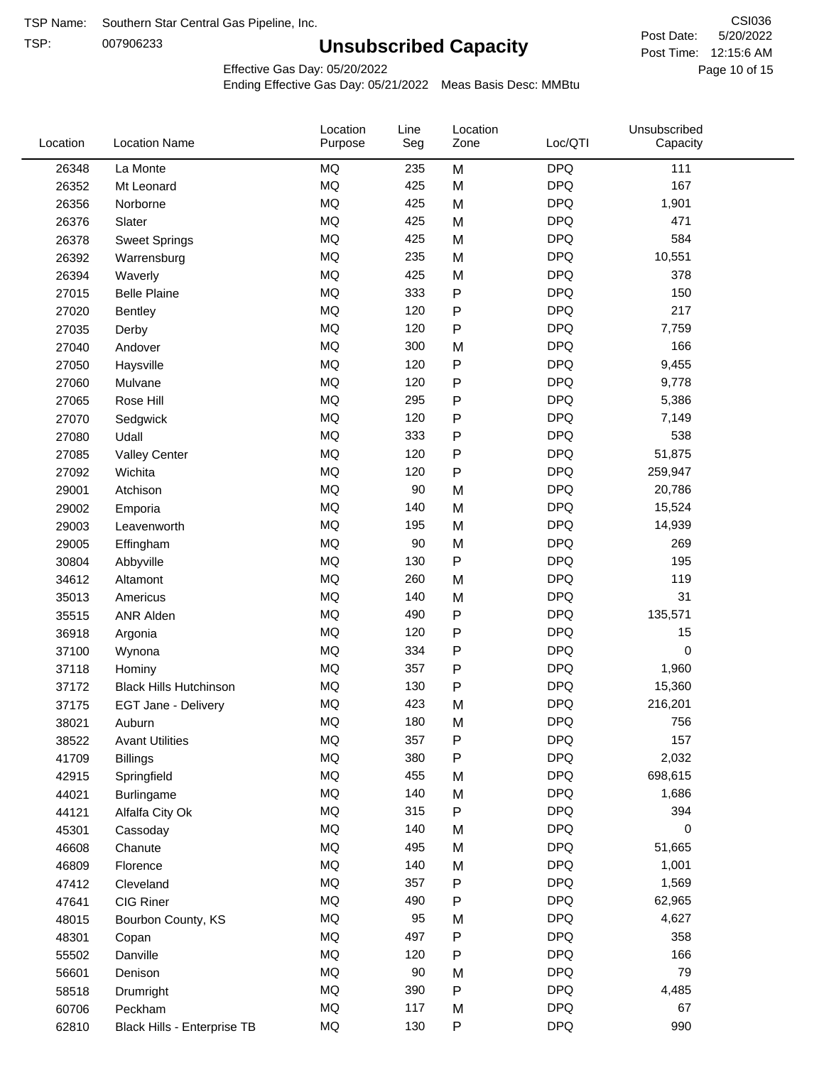TSP:

# **Unsubscribed Capacity**

5/20/2022 Page 10 of 15 Post Time: 12:15:6 AM CSI036 Post Date:

Effective Gas Day: 05/20/2022

| Location | <b>Location Name</b>          | Location<br>Purpose | Line<br>Seg | Location<br>Zone | Loc/QTI    | Unsubscribed<br>Capacity |  |
|----------|-------------------------------|---------------------|-------------|------------------|------------|--------------------------|--|
| 26348    | La Monte                      | <b>MQ</b>           | 235         | M                | <b>DPQ</b> | 111                      |  |
| 26352    | Mt Leonard                    | <b>MQ</b>           | 425         | M                | <b>DPQ</b> | 167                      |  |
| 26356    | Norborne                      | <b>MQ</b>           | 425         | M                | <b>DPQ</b> | 1,901                    |  |
| 26376    | Slater                        | MQ                  | 425         | M                | <b>DPQ</b> | 471                      |  |
| 26378    | <b>Sweet Springs</b>          | MQ                  | 425         | M                | <b>DPQ</b> | 584                      |  |
| 26392    | Warrensburg                   | <b>MQ</b>           | 235         | M                | <b>DPQ</b> | 10,551                   |  |
| 26394    | Waverly                       | <b>MQ</b>           | 425         | M                | <b>DPQ</b> | 378                      |  |
| 27015    | <b>Belle Plaine</b>           | <b>MQ</b>           | 333         | ${\sf P}$        | <b>DPQ</b> | 150                      |  |
| 27020    | Bentley                       | MQ                  | 120         | P                | <b>DPQ</b> | 217                      |  |
| 27035    | Derby                         | <b>MQ</b>           | 120         | ${\sf P}$        | <b>DPQ</b> | 7,759                    |  |
| 27040    | Andover                       | MQ                  | 300         | M                | <b>DPQ</b> | 166                      |  |
| 27050    | Haysville                     | <b>MQ</b>           | 120         | ${\sf P}$        | <b>DPQ</b> | 9,455                    |  |
| 27060    | Mulvane                       | <b>MQ</b>           | 120         | P                | <b>DPQ</b> | 9,778                    |  |
| 27065    | Rose Hill                     | <b>MQ</b>           | 295         | P                | <b>DPQ</b> | 5,386                    |  |
| 27070    | Sedgwick                      | <b>MQ</b>           | 120         | ${\sf P}$        | <b>DPQ</b> | 7,149                    |  |
| 27080    | Udall                         | <b>MQ</b>           | 333         | P                | <b>DPQ</b> | 538                      |  |
| 27085    | <b>Valley Center</b>          | <b>MQ</b>           | 120         | ${\sf P}$        | <b>DPQ</b> | 51,875                   |  |
| 27092    | Wichita                       | <b>MQ</b>           | 120         | ${\sf P}$        | <b>DPQ</b> | 259,947                  |  |
| 29001    | Atchison                      | MQ                  | 90          | M                | <b>DPQ</b> | 20,786                   |  |
| 29002    | Emporia                       | MQ                  | 140         | M                | <b>DPQ</b> | 15,524                   |  |
| 29003    | Leavenworth                   | <b>MQ</b>           | 195         | M                | <b>DPQ</b> | 14,939                   |  |
| 29005    | Effingham                     | <b>MQ</b>           | 90          | M                | <b>DPQ</b> | 269                      |  |
| 30804    | Abbyville                     | <b>MQ</b>           | 130         | $\mathsf{P}$     | <b>DPQ</b> | 195                      |  |
| 34612    | Altamont                      | <b>MQ</b>           | 260         | M                | <b>DPQ</b> | 119                      |  |
| 35013    | Americus                      | <b>MQ</b>           | 140         | M                | <b>DPQ</b> | 31                       |  |
| 35515    | <b>ANR Alden</b>              | <b>MQ</b>           | 490         | ${\sf P}$        | <b>DPQ</b> | 135,571                  |  |
| 36918    | Argonia                       | <b>MQ</b>           | 120         | P                | <b>DPQ</b> | 15                       |  |
| 37100    | Wynona                        | <b>MQ</b>           | 334         | P                | <b>DPQ</b> | 0                        |  |
| 37118    | Hominy                        | <b>MQ</b>           | 357         | ${\sf P}$        | <b>DPQ</b> | 1,960                    |  |
| 37172    | <b>Black Hills Hutchinson</b> | MQ                  | 130         | P                | <b>DPQ</b> | 15,360                   |  |
| 37175    | <b>EGT Jane - Delivery</b>    | <b>MQ</b>           | 423         | M                | <b>DPQ</b> | 216,201                  |  |
| 38021    | Auburn                        | MQ                  | 180         | M                | <b>DPQ</b> | 756                      |  |
| 38522    | <b>Avant Utilities</b>        | MQ                  | 357         | P                | <b>DPQ</b> | 157                      |  |
| 41709    | <b>Billings</b>               | $\sf{MQ}$           | 380         | P                | <b>DPQ</b> | 2,032                    |  |
| 42915    | Springfield                   | MQ                  | 455         | M                | <b>DPQ</b> | 698,615                  |  |
| 44021    | <b>Burlingame</b>             | MQ                  | 140         | M                | <b>DPQ</b> | 1,686                    |  |
| 44121    | Alfalfa City Ok               | MQ                  | 315         | ${\sf P}$        | <b>DPQ</b> | 394                      |  |
| 45301    | Cassoday                      | MQ                  | 140         | M                | <b>DPQ</b> | 0                        |  |
| 46608    | Chanute                       | MQ                  | 495         | M                | <b>DPQ</b> | 51,665                   |  |
| 46809    | Florence                      | MQ                  | 140         | M                | <b>DPQ</b> | 1,001                    |  |
| 47412    | Cleveland                     | MQ                  | 357         | P                | <b>DPQ</b> | 1,569                    |  |
| 47641    | CIG Riner                     | MQ                  | 490         | P                | <b>DPQ</b> | 62,965                   |  |
| 48015    | Bourbon County, KS            | MQ                  | 95          | M                | <b>DPQ</b> | 4,627                    |  |
| 48301    | Copan                         | MQ                  | 497         | P                | <b>DPQ</b> | 358                      |  |
| 55502    | Danville                      | MQ                  | 120         | P                | <b>DPQ</b> | 166                      |  |
| 56601    | Denison                       | MQ                  | 90          | M                | <b>DPQ</b> | 79                       |  |
| 58518    | Drumright                     | MQ                  | 390         | ${\sf P}$        | <b>DPQ</b> | 4,485                    |  |
| 60706    | Peckham                       | MQ                  | 117         | M                | <b>DPQ</b> | 67                       |  |
| 62810    | Black Hills - Enterprise TB   | MQ                  | 130         | ${\sf P}$        | <b>DPQ</b> | 990                      |  |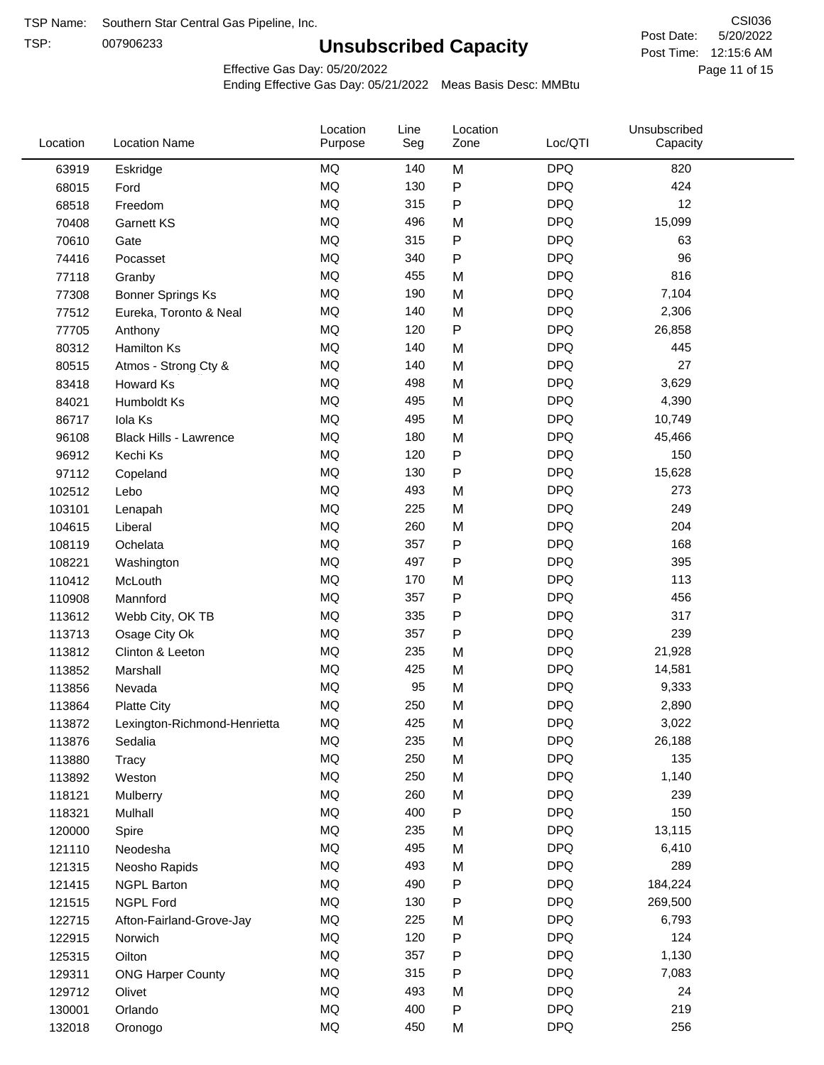TSP:

# **Unsubscribed Capacity**

5/20/2022 Page 11 of 15 Post Time: 12:15:6 AM CSI036 Post Date:

Effective Gas Day: 05/20/2022

| Location | <b>Location Name</b>          | Location<br>Purpose | Line<br>Seg | Location<br>Zone | Loc/QTI    | Unsubscribed<br>Capacity |  |
|----------|-------------------------------|---------------------|-------------|------------------|------------|--------------------------|--|
| 63919    | Eskridge                      | <b>MQ</b>           | 140         | M                | <b>DPQ</b> | 820                      |  |
| 68015    | Ford                          | MQ                  | 130         | P                | <b>DPQ</b> | 424                      |  |
| 68518    | Freedom                       | MQ                  | 315         | P                | <b>DPQ</b> | 12                       |  |
| 70408    | <b>Garnett KS</b>             | <b>MQ</b>           | 496         | M                | <b>DPQ</b> | 15,099                   |  |
| 70610    | Gate                          | MQ                  | 315         | P                | <b>DPQ</b> | 63                       |  |
| 74416    | Pocasset                      | MQ                  | 340         | P                | <b>DPQ</b> | 96                       |  |
| 77118    | Granby                        | MQ                  | 455         | M                | <b>DPQ</b> | 816                      |  |
| 77308    | Bonner Springs Ks             | MQ                  | 190         | M                | <b>DPQ</b> | 7,104                    |  |
| 77512    | Eureka, Toronto & Neal        | MQ                  | 140         | M                | <b>DPQ</b> | 2,306                    |  |
| 77705    | Anthony                       | MQ                  | 120         | P                | <b>DPQ</b> | 26,858                   |  |
| 80312    | <b>Hamilton Ks</b>            | <b>MQ</b>           | 140         | M                | <b>DPQ</b> | 445                      |  |
| 80515    | Atmos - Strong Cty &          | MQ                  | 140         | M                | <b>DPQ</b> | 27                       |  |
| 83418    | Howard Ks                     | MQ                  | 498         | M                | <b>DPQ</b> | 3,629                    |  |
| 84021    | Humboldt Ks                   | <b>MQ</b>           | 495         | M                | <b>DPQ</b> | 4,390                    |  |
| 86717    | Iola Ks                       | MQ                  | 495         | M                | <b>DPQ</b> | 10,749                   |  |
| 96108    | <b>Black Hills - Lawrence</b> | <b>MQ</b>           | 180         | M                | <b>DPQ</b> | 45,466                   |  |
| 96912    | Kechi Ks                      | MQ                  | 120         | P                | <b>DPQ</b> | 150                      |  |
| 97112    | Copeland                      | <b>MQ</b>           | 130         | Ρ                | <b>DPQ</b> | 15,628                   |  |
| 102512   | Lebo                          | <b>MQ</b>           | 493         | M                | <b>DPQ</b> | 273                      |  |
| 103101   | Lenapah                       | <b>MQ</b>           | 225         | M                | <b>DPQ</b> | 249                      |  |
| 104615   | Liberal                       | <b>MQ</b>           | 260         | M                | <b>DPQ</b> | 204                      |  |
| 108119   | Ochelata                      | <b>MQ</b>           | 357         | P                | <b>DPQ</b> | 168                      |  |
| 108221   | Washington                    | <b>MQ</b>           | 497         | P                | <b>DPQ</b> | 395                      |  |
| 110412   | McLouth                       | <b>MQ</b>           | 170         | M                | <b>DPQ</b> | 113                      |  |
| 110908   | Mannford                      | MQ                  | 357         | P                | <b>DPQ</b> | 456                      |  |
| 113612   | Webb City, OK TB              | <b>MQ</b>           | 335         | P                | <b>DPQ</b> | 317                      |  |
| 113713   | Osage City Ok                 | MQ                  | 357         | P                | <b>DPQ</b> | 239                      |  |
| 113812   | Clinton & Leeton              | MQ                  | 235         | M                | <b>DPQ</b> | 21,928                   |  |
| 113852   | Marshall                      | <b>MQ</b>           | 425         | M                | <b>DPQ</b> | 14,581                   |  |
| 113856   | Nevada                        | <b>MQ</b>           | 95          | M                | <b>DPQ</b> | 9,333                    |  |
| 113864   | <b>Platte City</b>            | <b>MQ</b>           | 250         | M                | <b>DPQ</b> | 2,890                    |  |
| 113872   | Lexington-Richmond-Henrietta  | MQ                  | 425         | M                | <b>DPQ</b> | 3,022                    |  |
| 113876   | Sedalia                       | ΜQ                  | 235         | M                | <b>DPQ</b> | 26,188                   |  |
| 113880   | Tracy                         | MQ                  | 250         | M                | <b>DPQ</b> | 135                      |  |
| 113892   | Weston                        | MQ                  | 250         | M                | <b>DPQ</b> | 1,140                    |  |
| 118121   | Mulberry                      | MQ                  | 260         | M                | <b>DPQ</b> | 239                      |  |
| 118321   | Mulhall                       | MQ                  | 400         | ${\sf P}$        | <b>DPQ</b> | 150                      |  |
| 120000   | Spire                         | MQ                  | 235         | M                | <b>DPQ</b> | 13,115                   |  |
| 121110   | Neodesha                      | MQ                  | 495         | M                | <b>DPQ</b> | 6,410                    |  |
| 121315   | Neosho Rapids                 | $\sf{MQ}$           | 493         | M                | <b>DPQ</b> | 289                      |  |
| 121415   | <b>NGPL Barton</b>            | MQ                  | 490         | Ρ                | <b>DPQ</b> | 184,224                  |  |
| 121515   | <b>NGPL Ford</b>              | MQ                  | 130         | P                | <b>DPQ</b> | 269,500                  |  |
| 122715   | Afton-Fairland-Grove-Jay      | MQ                  | 225         | M                | <b>DPQ</b> | 6,793                    |  |
| 122915   | Norwich                       | MQ                  | 120         | Ρ                | <b>DPQ</b> | 124                      |  |
| 125315   | Oilton                        | MQ                  | 357         | Ρ                | <b>DPQ</b> | 1,130                    |  |
| 129311   | <b>ONG Harper County</b>      | MQ                  | 315         | Ρ                | <b>DPQ</b> | 7,083                    |  |
| 129712   | Olivet                        | MQ                  | 493         | M                | <b>DPQ</b> | 24                       |  |
| 130001   | Orlando                       | MQ                  | 400         | Ρ                | <b>DPQ</b> | 219                      |  |
| 132018   | Oronogo                       | $\sf{MQ}$           | 450         | M                | <b>DPQ</b> | 256                      |  |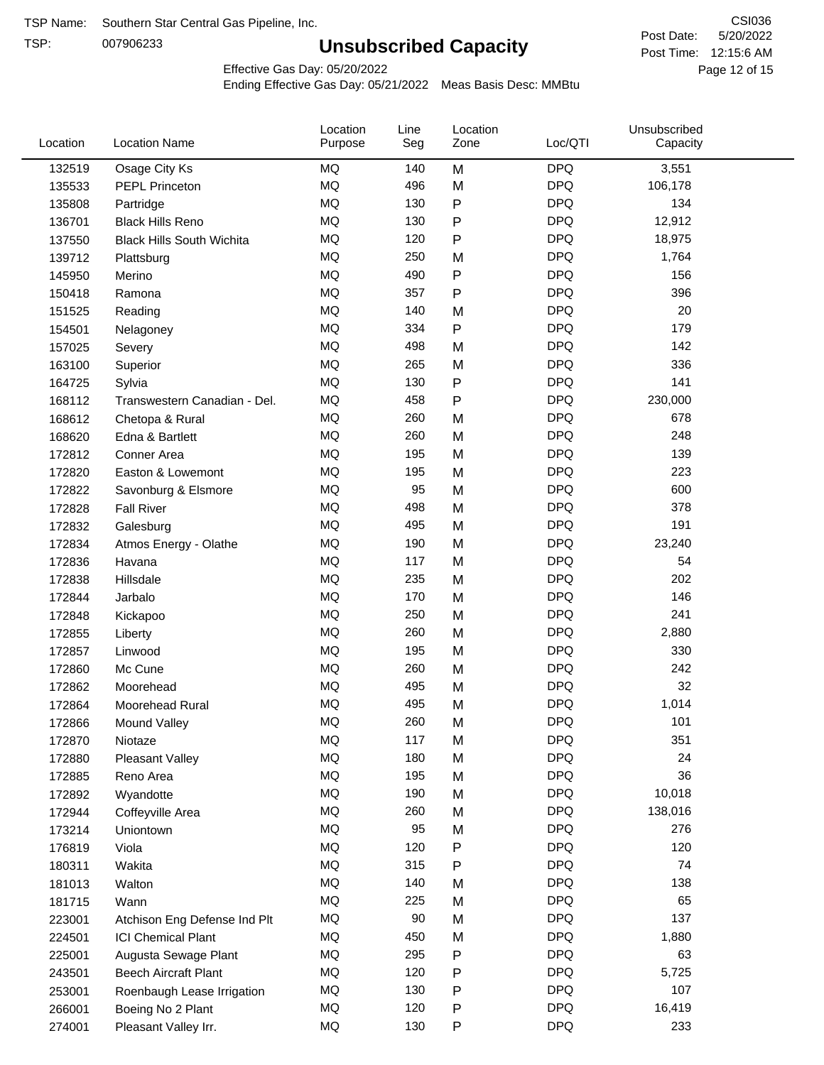TSP: 

# **Unsubscribed Capacity**

5/20/2022 Page 12 of 15 Post Time: 12:15:6 AM CSI036 Post Date:

Effective Gas Day: 05/20/2022

| Location | <b>Location Name</b>             | Location<br>Purpose | Line<br>Seg | Location<br>Zone | Loc/QTI    | Unsubscribed<br>Capacity |  |
|----------|----------------------------------|---------------------|-------------|------------------|------------|--------------------------|--|
| 132519   | Osage City Ks                    | MQ                  | 140         | M                | <b>DPQ</b> | 3,551                    |  |
| 135533   | <b>PEPL Princeton</b>            | MQ                  | 496         | M                | <b>DPQ</b> | 106,178                  |  |
| 135808   | Partridge                        | MQ                  | 130         | P                | <b>DPQ</b> | 134                      |  |
| 136701   | <b>Black Hills Reno</b>          | MQ                  | 130         | P                | <b>DPQ</b> | 12,912                   |  |
| 137550   | <b>Black Hills South Wichita</b> | MQ                  | 120         | P                | <b>DPQ</b> | 18,975                   |  |
| 139712   | Plattsburg                       | MQ                  | 250         | M                | <b>DPQ</b> | 1,764                    |  |
| 145950   | Merino                           | MQ                  | 490         | P                | <b>DPQ</b> | 156                      |  |
| 150418   | Ramona                           | MQ                  | 357         | P                | <b>DPQ</b> | 396                      |  |
| 151525   | Reading                          | MQ                  | 140         | M                | <b>DPQ</b> | 20                       |  |
| 154501   | Nelagoney                        | MQ                  | 334         | P                | <b>DPQ</b> | 179                      |  |
| 157025   | Severy                           | MQ                  | 498         | M                | <b>DPQ</b> | 142                      |  |
| 163100   | Superior                         | MQ                  | 265         | M                | <b>DPQ</b> | 336                      |  |
| 164725   | Sylvia                           | MQ                  | 130         | P                | <b>DPQ</b> | 141                      |  |
| 168112   | Transwestern Canadian - Del.     | MQ                  | 458         | P                | <b>DPQ</b> | 230,000                  |  |
| 168612   | Chetopa & Rural                  | MQ                  | 260         | M                | <b>DPQ</b> | 678                      |  |
| 168620   | Edna & Bartlett                  | MQ                  | 260         | M                | <b>DPQ</b> | 248                      |  |
| 172812   | Conner Area                      | MQ                  | 195         | M                | <b>DPQ</b> | 139                      |  |
| 172820   | Easton & Lowemont                | MQ                  | 195         | M                | <b>DPQ</b> | 223                      |  |
| 172822   | Savonburg & Elsmore              | MQ                  | 95          | M                | <b>DPQ</b> | 600                      |  |
| 172828   | <b>Fall River</b>                | <b>MQ</b>           | 498         | M                | <b>DPQ</b> | 378                      |  |
| 172832   | Galesburg                        | MQ                  | 495         | M                | <b>DPQ</b> | 191                      |  |
| 172834   | Atmos Energy - Olathe            | MQ                  | 190         | M                | <b>DPQ</b> | 23,240                   |  |
| 172836   | Havana                           | MQ                  | 117         | M                | <b>DPQ</b> | 54                       |  |
| 172838   | Hillsdale                        | <b>MQ</b>           | 235         | M                | <b>DPQ</b> | 202                      |  |
| 172844   | Jarbalo                          | MQ                  | 170         | M                | <b>DPQ</b> | 146                      |  |
| 172848   | Kickapoo                         | MQ                  | 250         | M                | <b>DPQ</b> | 241                      |  |
| 172855   | Liberty                          | MQ                  | 260         | M                | <b>DPQ</b> | 2,880                    |  |
| 172857   | Linwood                          | MQ                  | 195         | M                | <b>DPQ</b> | 330                      |  |
| 172860   | Mc Cune                          | MQ                  | 260         | M                | <b>DPQ</b> | 242                      |  |
| 172862   | Moorehead                        | MQ                  | 495         | M                | <b>DPQ</b> | 32                       |  |
| 172864   | Moorehead Rural                  | MQ                  | 495         | M                | <b>DPQ</b> | 1,014                    |  |
| 172866   | Mound Valley                     | MQ                  | 260         | M                | <b>DPQ</b> | 101                      |  |
| 172870   | Niotaze                          | MQ                  | 117         | M                | <b>DPQ</b> | 351                      |  |
| 172880   | Pleasant Valley                  | MQ                  | 180         | M                | <b>DPQ</b> | 24                       |  |
| 172885   | Reno Area                        | MQ                  | 195         | M                | <b>DPQ</b> | 36                       |  |
| 172892   | Wyandotte                        | MQ                  | 190         | M                | <b>DPQ</b> | 10,018                   |  |
| 172944   | Coffeyville Area                 | MQ                  | 260         | M                | <b>DPQ</b> | 138,016                  |  |
| 173214   | Uniontown                        | MQ                  | 95          | M                | <b>DPQ</b> | 276                      |  |
| 176819   | Viola                            | MQ                  | 120         | Ρ                | <b>DPQ</b> | 120                      |  |
| 180311   | Wakita                           | MQ                  | 315         | P                | <b>DPQ</b> | 74                       |  |
| 181013   | Walton                           | MQ                  | 140         | M                | <b>DPQ</b> | 138                      |  |
| 181715   | Wann                             | MQ                  | 225         | M                | <b>DPQ</b> | 65                       |  |
| 223001   | Atchison Eng Defense Ind Plt     | $\sf{MQ}$           | 90          | M                | <b>DPQ</b> | 137                      |  |
| 224501   | <b>ICI Chemical Plant</b>        | MQ                  | 450         | M                | <b>DPQ</b> | 1,880                    |  |
| 225001   | Augusta Sewage Plant             | MQ                  | 295         | P                | <b>DPQ</b> | 63                       |  |
| 243501   | <b>Beech Aircraft Plant</b>      | MQ                  | 120         | P                | <b>DPQ</b> | 5,725                    |  |
| 253001   | Roenbaugh Lease Irrigation       | MQ                  | 130         | P                | <b>DPQ</b> | 107                      |  |
| 266001   | Boeing No 2 Plant                | MQ                  | 120         | P                | <b>DPQ</b> | 16,419                   |  |
| 274001   | Pleasant Valley Irr.             | MQ                  | 130         | P                | <b>DPQ</b> | 233                      |  |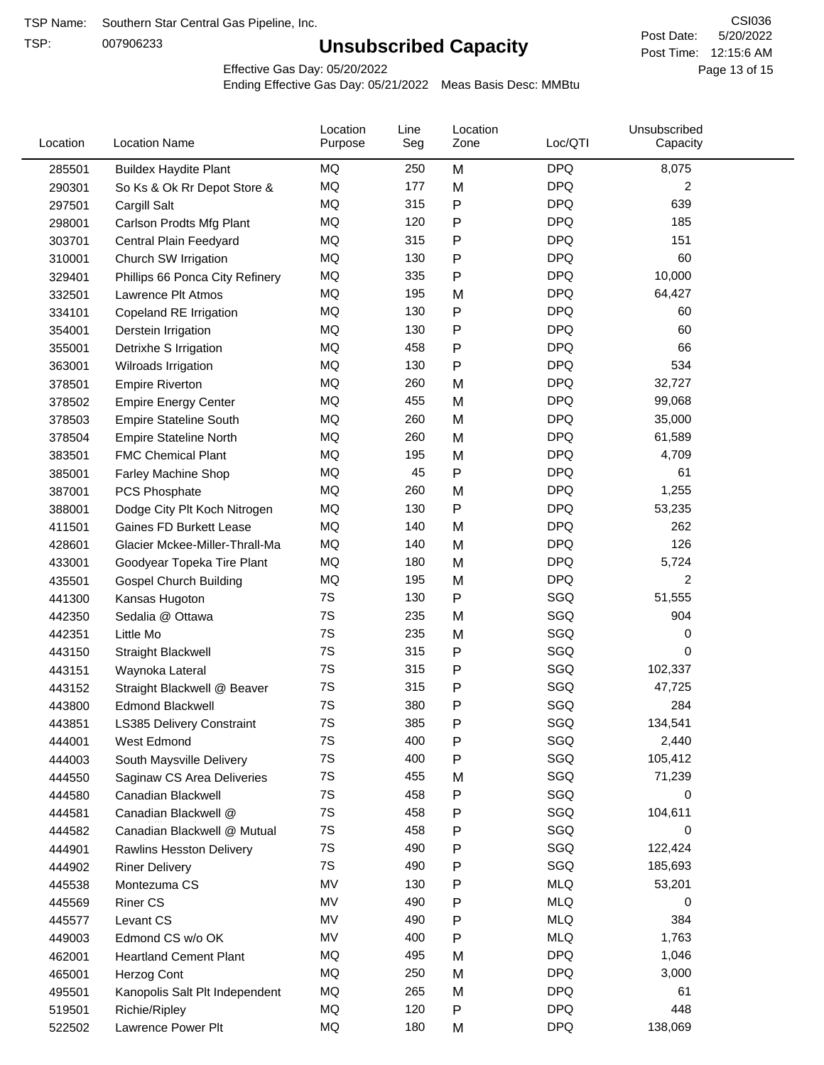TSP:

# **Unsubscribed Capacity**

5/20/2022 Page 13 of 15 Post Time: 12:15:6 AM CSI036 Post Date:

Effective Gas Day: 05/20/2022

| Location | <b>Location Name</b>             | Location<br>Purpose | Line<br>Seg | Location<br>Zone | Loc/QTI    | Unsubscribed<br>Capacity |  |
|----------|----------------------------------|---------------------|-------------|------------------|------------|--------------------------|--|
| 285501   | <b>Buildex Haydite Plant</b>     | MQ                  | 250         | M                | <b>DPQ</b> | 8,075                    |  |
| 290301   | So Ks & Ok Rr Depot Store &      | MQ                  | 177         | M                | <b>DPQ</b> | 2                        |  |
| 297501   | Cargill Salt                     | MQ                  | 315         | Ρ                | <b>DPQ</b> | 639                      |  |
| 298001   | Carlson Prodts Mfg Plant         | MQ                  | 120         | Ρ                | <b>DPQ</b> | 185                      |  |
| 303701   | Central Plain Feedyard           | <b>MQ</b>           | 315         | Ρ                | <b>DPQ</b> | 151                      |  |
| 310001   | Church SW Irrigation             | MQ                  | 130         | Ρ                | <b>DPQ</b> | 60                       |  |
| 329401   | Phillips 66 Ponca City Refinery  | MQ                  | 335         | P                | <b>DPQ</b> | 10,000                   |  |
| 332501   | Lawrence Plt Atmos               | MQ                  | 195         | M                | <b>DPQ</b> | 64,427                   |  |
| 334101   | Copeland RE Irrigation           | MQ                  | 130         | P                | <b>DPQ</b> | 60                       |  |
| 354001   | Derstein Irrigation              | MQ                  | 130         | Ρ                | <b>DPQ</b> | 60                       |  |
| 355001   | Detrixhe S Irrigation            | MQ                  | 458         | P                | <b>DPQ</b> | 66                       |  |
| 363001   | Wilroads Irrigation              | MQ                  | 130         | Ρ                | <b>DPQ</b> | 534                      |  |
| 378501   | <b>Empire Riverton</b>           | MQ                  | 260         | M                | <b>DPQ</b> | 32,727                   |  |
| 378502   | <b>Empire Energy Center</b>      | <b>MQ</b>           | 455         | M                | <b>DPQ</b> | 99,068                   |  |
| 378503   | <b>Empire Stateline South</b>    | MQ                  | 260         | M                | <b>DPQ</b> | 35,000                   |  |
| 378504   | <b>Empire Stateline North</b>    | MQ                  | 260         | M                | <b>DPQ</b> | 61,589                   |  |
| 383501   | <b>FMC Chemical Plant</b>        | MQ                  | 195         | M                | <b>DPQ</b> | 4,709                    |  |
| 385001   | <b>Farley Machine Shop</b>       | MQ                  | 45          | P                | <b>DPQ</b> | 61                       |  |
| 387001   | PCS Phosphate                    | MQ                  | 260         | M                | <b>DPQ</b> | 1,255                    |  |
| 388001   | Dodge City Plt Koch Nitrogen     | MQ                  | 130         | Ρ                | <b>DPQ</b> | 53,235                   |  |
| 411501   | Gaines FD Burkett Lease          | MQ                  | 140         | M                | <b>DPQ</b> | 262                      |  |
| 428601   | Glacier Mckee-Miller-Thrall-Ma   | MQ                  | 140         | M                | <b>DPQ</b> | 126                      |  |
| 433001   | Goodyear Topeka Tire Plant       | MQ                  | 180         | M                | <b>DPQ</b> | 5,724                    |  |
| 435501   | <b>Gospel Church Building</b>    | MQ                  | 195         | M                | <b>DPQ</b> | $\overline{2}$           |  |
| 441300   | Kansas Hugoton                   | 7S                  | 130         | P                | SGQ        | 51,555                   |  |
| 442350   | Sedalia @ Ottawa                 | 7S                  | 235         | M                | SGQ        | 904                      |  |
| 442351   | Little Mo                        | 7S                  | 235         | M                | SGQ        | 0                        |  |
| 443150   | <b>Straight Blackwell</b>        | 7S                  | 315         | P                | SGQ        | 0                        |  |
| 443151   | Waynoka Lateral                  | 7S                  | 315         | Ρ                | SGQ        | 102,337                  |  |
| 443152   | Straight Blackwell @ Beaver      | 7S                  | 315         | Ρ                | SGQ        | 47,725                   |  |
| 443800   | <b>Edmond Blackwell</b>          | 7S                  | 380         | Ρ                | SGQ        | 284                      |  |
| 443851   | <b>LS385 Delivery Constraint</b> | 7S                  | 385         | P                | SGQ        | 134,541                  |  |
| 444001   | West Edmond                      | 7S                  | 400         | P                | SGQ        | 2,440                    |  |
| 444003   | South Maysville Delivery         | 7S                  | 400         | P                | SGQ        | 105,412                  |  |
| 444550   | Saginaw CS Area Deliveries       | 7S                  | 455         | M                | SGQ        | 71,239                   |  |
| 444580   | Canadian Blackwell               | 7S                  | 458         | Ρ                | SGQ        | 0                        |  |
| 444581   | Canadian Blackwell @             | 7S                  | 458         | Ρ                | SGQ        | 104,611                  |  |
| 444582   | Canadian Blackwell @ Mutual      | 7S                  | 458         | Ρ                | SGQ        | 0                        |  |
| 444901   | <b>Rawlins Hesston Delivery</b>  | 7S                  | 490         | Ρ                | SGQ        | 122,424                  |  |
| 444902   | <b>Riner Delivery</b>            | 7S                  | 490         | Ρ                | SGQ        | 185,693                  |  |
| 445538   | Montezuma CS                     | MV                  | 130         | Ρ                | <b>MLQ</b> | 53,201                   |  |
| 445569   | <b>Riner CS</b>                  | MV                  | 490         | Ρ                | <b>MLQ</b> | 0                        |  |
| 445577   | Levant CS                        | MV                  | 490         | Ρ                | <b>MLQ</b> | 384                      |  |
| 449003   | Edmond CS w/o OK                 | MV                  | 400         | Ρ                | <b>MLQ</b> | 1,763                    |  |
| 462001   | <b>Heartland Cement Plant</b>    | MQ                  | 495         | M                | <b>DPQ</b> | 1,046                    |  |
| 465001   | Herzog Cont                      | MQ                  | 250         | M                | <b>DPQ</b> | 3,000                    |  |
| 495501   | Kanopolis Salt Plt Independent   | MQ                  | 265         | M                | <b>DPQ</b> | 61                       |  |
| 519501   | Richie/Ripley                    | MQ                  | 120         | Ρ                | <b>DPQ</b> | 448                      |  |
| 522502   | Lawrence Power Plt               | MQ                  | 180         | M                | <b>DPQ</b> | 138,069                  |  |
|          |                                  |                     |             |                  |            |                          |  |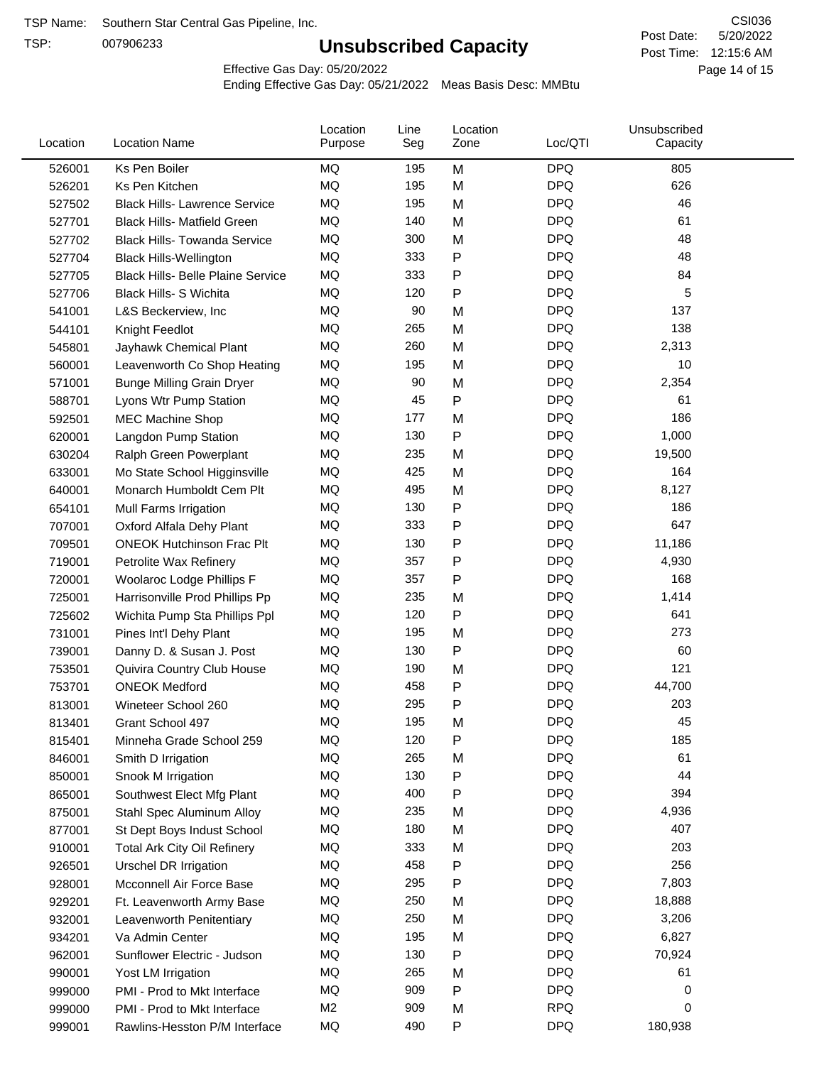TSP:

# **Unsubscribed Capacity**

5/20/2022 Page 14 of 15 Post Time: 12:15:6 AM CSI036 Post Date:

Effective Gas Day: 05/20/2022

| Location | <b>Location Name</b>                     | Location<br>Purpose | Line<br>Seg | Location<br>Zone | Loc/QTI    | Unsubscribed<br>Capacity |  |
|----------|------------------------------------------|---------------------|-------------|------------------|------------|--------------------------|--|
| 526001   | Ks Pen Boiler                            | MQ                  | 195         | M                | <b>DPQ</b> | 805                      |  |
| 526201   | Ks Pen Kitchen                           | MQ                  | 195         | M                | <b>DPQ</b> | 626                      |  |
| 527502   | <b>Black Hills- Lawrence Service</b>     | MQ                  | 195         | M                | <b>DPQ</b> | 46                       |  |
| 527701   | <b>Black Hills- Matfield Green</b>       | MQ                  | 140         | M                | <b>DPQ</b> | 61                       |  |
| 527702   | <b>Black Hills- Towanda Service</b>      | <b>MQ</b>           | 300         | M                | <b>DPQ</b> | 48                       |  |
| 527704   | <b>Black Hills-Wellington</b>            | <b>MQ</b>           | 333         | P                | <b>DPQ</b> | 48                       |  |
| 527705   | <b>Black Hills- Belle Plaine Service</b> | <b>MQ</b>           | 333         | P                | <b>DPQ</b> | 84                       |  |
| 527706   | <b>Black Hills- S Wichita</b>            | MQ                  | 120         | P                | <b>DPQ</b> | 5                        |  |
| 541001   | L&S Beckerview, Inc                      | MQ                  | 90          | M                | <b>DPQ</b> | 137                      |  |
| 544101   | Knight Feedlot                           | MQ                  | 265         | M                | <b>DPQ</b> | 138                      |  |
| 545801   | Jayhawk Chemical Plant                   | MQ                  | 260         | M                | <b>DPQ</b> | 2,313                    |  |
| 560001   | Leavenworth Co Shop Heating              | MQ                  | 195         | M                | <b>DPQ</b> | 10                       |  |
| 571001   | <b>Bunge Milling Grain Dryer</b>         | MQ                  | 90          | M                | <b>DPQ</b> | 2,354                    |  |
| 588701   | Lyons Wtr Pump Station                   | <b>MQ</b>           | 45          | P                | <b>DPQ</b> | 61                       |  |
| 592501   | <b>MEC Machine Shop</b>                  | <b>MQ</b>           | 177         | M                | <b>DPQ</b> | 186                      |  |
| 620001   | Langdon Pump Station                     | MQ                  | 130         | $\mathsf{P}$     | <b>DPQ</b> | 1,000                    |  |
| 630204   | Ralph Green Powerplant                   | MQ                  | 235         | M                | <b>DPQ</b> | 19,500                   |  |
| 633001   | Mo State School Higginsville             | MQ                  | 425         | M                | <b>DPQ</b> | 164                      |  |
| 640001   | Monarch Humboldt Cem Plt                 | MQ                  | 495         | M                | <b>DPQ</b> | 8,127                    |  |
| 654101   | Mull Farms Irrigation                    | MQ                  | 130         | P                | <b>DPQ</b> | 186                      |  |
| 707001   | Oxford Alfala Dehy Plant                 | MQ                  | 333         | P                | <b>DPQ</b> | 647                      |  |
| 709501   | <b>ONEOK Hutchinson Frac Plt</b>         | MQ                  | 130         | P                | <b>DPQ</b> | 11,186                   |  |
| 719001   | Petrolite Wax Refinery                   | MQ                  | 357         | P                | <b>DPQ</b> | 4,930                    |  |
| 720001   | Woolaroc Lodge Phillips F                | MQ                  | 357         | P                | <b>DPQ</b> | 168                      |  |
| 725001   | Harrisonville Prod Phillips Pp           | MQ                  | 235         | M                | <b>DPQ</b> | 1,414                    |  |
| 725602   | Wichita Pump Sta Phillips Ppl            | MQ                  | 120         | P                | <b>DPQ</b> | 641                      |  |
| 731001   | Pines Int'l Dehy Plant                   | MQ                  | 195         | M                | <b>DPQ</b> | 273                      |  |
| 739001   | Danny D. & Susan J. Post                 | MQ                  | 130         | $\mathsf{P}$     | <b>DPQ</b> | 60                       |  |
| 753501   | Quivira Country Club House               | MQ                  | 190         | M                | <b>DPQ</b> | 121                      |  |
| 753701   | <b>ONEOK Medford</b>                     | MQ                  | 458         | P                | <b>DPQ</b> | 44,700                   |  |
| 813001   | Wineteer School 260                      | MQ                  | 295         | P                | <b>DPQ</b> | 203                      |  |
| 813401   | Grant School 497                         | MQ                  | 195         | м                | <b>DPQ</b> | 45                       |  |
| 815401   | Minneha Grade School 259                 | MQ                  | 120         | P                | <b>DPQ</b> | 185                      |  |
| 846001   | Smith D Irrigation                       | MQ                  | 265         | M                | <b>DPQ</b> | 61                       |  |
| 850001   | Snook M Irrigation                       | MQ                  | 130         | P                | <b>DPQ</b> | 44                       |  |
| 865001   | Southwest Elect Mfg Plant                | MQ                  | 400         | $\mathsf{P}$     | <b>DPQ</b> | 394                      |  |
| 875001   | Stahl Spec Aluminum Alloy                | MQ                  | 235         | M                | <b>DPQ</b> | 4,936                    |  |
| 877001   | St Dept Boys Indust School               | MQ                  | 180         | M                | <b>DPQ</b> | 407                      |  |
| 910001   | <b>Total Ark City Oil Refinery</b>       | MQ                  | 333         | M                | <b>DPQ</b> | 203                      |  |
| 926501   | <b>Urschel DR Irrigation</b>             | MQ                  | 458         | P                | <b>DPQ</b> | 256                      |  |
| 928001   | Mcconnell Air Force Base                 | MQ                  | 295         | P                | <b>DPQ</b> | 7,803                    |  |
| 929201   | Ft. Leavenworth Army Base                | MQ                  | 250         | M                | <b>DPQ</b> | 18,888                   |  |
| 932001   | Leavenworth Penitentiary                 | MQ                  | 250         | M                | <b>DPQ</b> | 3,206                    |  |
| 934201   | Va Admin Center                          | MQ                  | 195         | M                | <b>DPQ</b> | 6,827                    |  |
| 962001   | Sunflower Electric - Judson              | MQ                  | 130         | P                | <b>DPQ</b> | 70,924                   |  |
| 990001   | Yost LM Irrigation                       | MQ                  | 265         | M                | <b>DPQ</b> | 61                       |  |
| 999000   | PMI - Prod to Mkt Interface              | MQ                  | 909         | P                | <b>DPQ</b> | 0                        |  |
| 999000   | PMI - Prod to Mkt Interface              | M <sub>2</sub>      | 909         | M                | <b>RPQ</b> | 0                        |  |
| 999001   | Rawlins-Hesston P/M Interface            | MQ                  | 490         | P                | <b>DPQ</b> | 180,938                  |  |